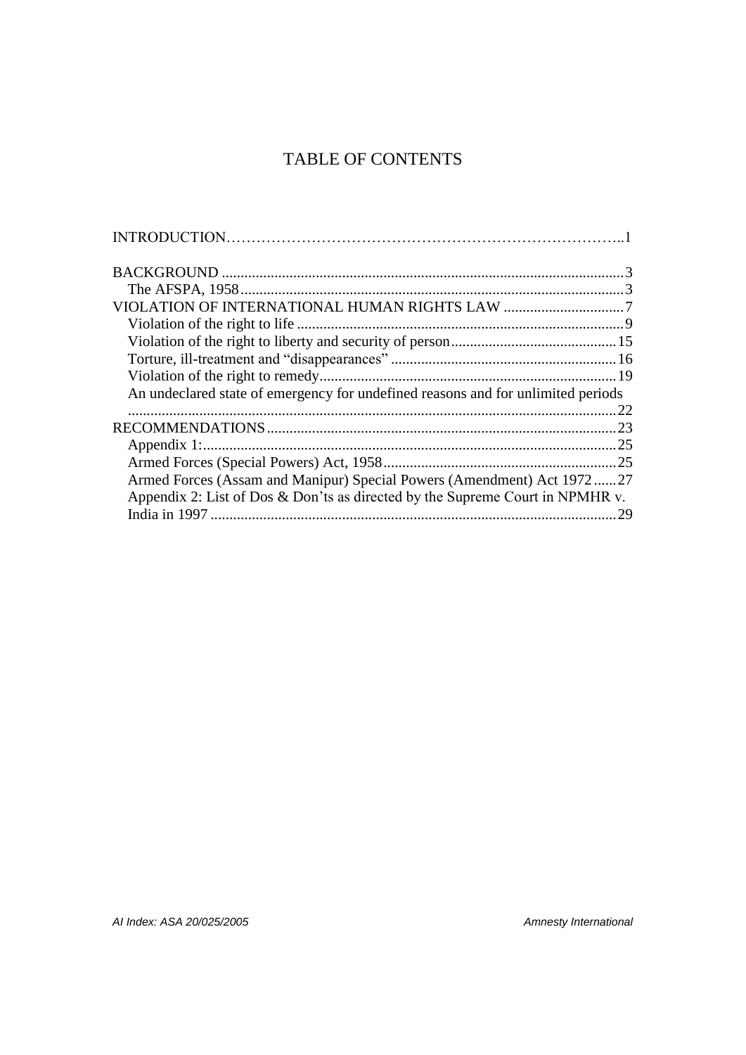### TABLE OF CONTENTS

| An undeclared state of emergency for undefined reasons and for unlimited periods |    |
|----------------------------------------------------------------------------------|----|
|                                                                                  |    |
|                                                                                  |    |
|                                                                                  |    |
|                                                                                  |    |
| Armed Forces (Assam and Manipur) Special Powers (Amendment) Act 197227           |    |
| Appendix 2: List of Dos & Don'ts as directed by the Supreme Court in NPMHR v.    |    |
|                                                                                  | 29 |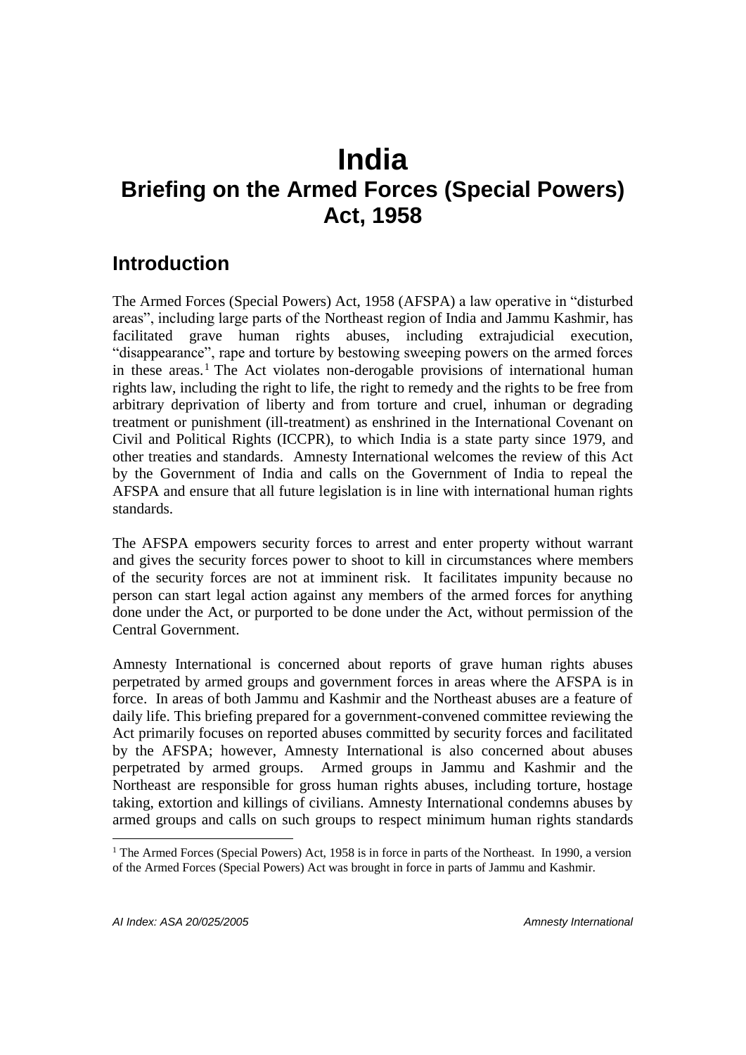# **Introduction**

The Armed Forces (Special Powers) Act, 1958 (AFSPA) a law operative in "disturbed areas", including large parts of the Northeast region of India and Jammu Kashmir, has facilitated grave human rights abuses, including extrajudicial execution, "disappearance", rape and torture by bestowing sweeping powers on the armed forces in these areas.<sup>1</sup> The Act violates non-derogable provisions of international human rights law, including the right to life, the right to remedy and the rights to be free from arbitrary deprivation of liberty and from torture and cruel, inhuman or degrading treatment or punishment (ill-treatment) as enshrined in the International Covenant on Civil and Political Rights (ICCPR), to which India is a state party since 1979, and other treaties and standards. Amnesty International welcomes the review of this Act by the Government of India and calls on the Government of India to repeal the AFSPA and ensure that all future legislation is in line with international human rights standards.

The AFSPA empowers security forces to arrest and enter property without warrant and gives the security forces power to shoot to kill in circumstances where members of the security forces are not at imminent risk. It facilitates impunity because no person can start legal action against any members of the armed forces for anything done under the Act, or purported to be done under the Act, without permission of the Central Government.

Amnesty International is concerned about reports of grave human rights abuses perpetrated by armed groups and government forces in areas where the AFSPA is in force. In areas of both Jammu and Kashmir and the Northeast abuses are a feature of daily life. This briefing prepared for a government-convened committee reviewing the Act primarily focuses on reported abuses committed by security forces and facilitated by the AFSPA; however, Amnesty International is also concerned about abuses perpetrated by armed groups. Armed groups in Jammu and Kashmir and the Northeast are responsible for gross human rights abuses, including torture, hostage taking, extortion and killings of civilians. Amnesty International condemns abuses by armed groups and calls on such groups to respect minimum human rights standards

<sup>&</sup>lt;sup>1</sup> The Armed Forces (Special Powers) Act, 1958 is in force in parts of the Northeast. In 1990, a version of the Armed Forces (Special Powers) Act was brought in force in parts of Jammu and Kashmir.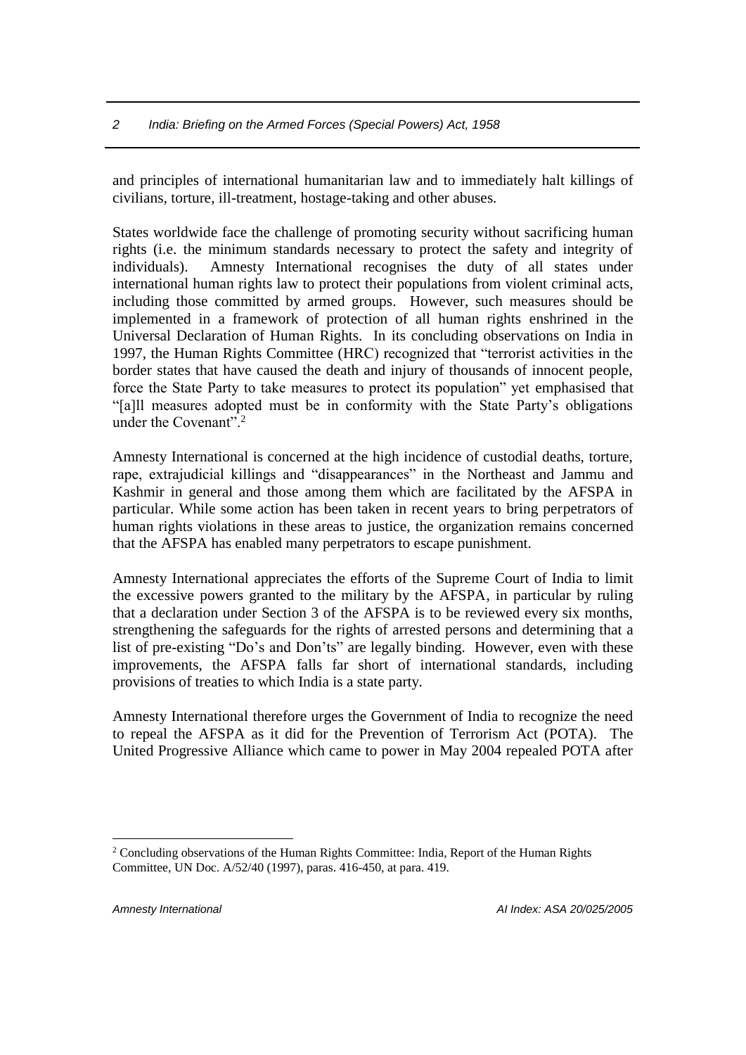and principles of international humanitarian law and to immediately halt killings of civilians, torture, ill-treatment, hostage-taking and other abuses.

States worldwide face the challenge of promoting security without sacrificing human rights (i.e. the minimum standards necessary to protect the safety and integrity of individuals). Amnesty International recognises the duty of all states under international human rights law to protect their populations from violent criminal acts, including those committed by armed groups. However, such measures should be implemented in a framework of protection of all human rights enshrined in the Universal Declaration of Human Rights. In its concluding observations on India in 1997, the Human Rights Committee (HRC) recognized that "terrorist activities in the border states that have caused the death and injury of thousands of innocent people, force the State Party to take measures to protect its population" yet emphasised that "[a]ll measures adopted must be in conformity with the State Party's obligations under the Covenant"<sup>2</sup>

Amnesty International is concerned at the high incidence of custodial deaths, torture, rape, extrajudicial killings and "disappearances" in the Northeast and Jammu and Kashmir in general and those among them which are facilitated by the AFSPA in particular. While some action has been taken in recent years to bring perpetrators of human rights violations in these areas to justice, the organization remains concerned that the AFSPA has enabled many perpetrators to escape punishment.

Amnesty International appreciates the efforts of the Supreme Court of India to limit the excessive powers granted to the military by the AFSPA, in particular by ruling that a declaration under Section 3 of the AFSPA is to be reviewed every six months, strengthening the safeguards for the rights of arrested persons and determining that a list of pre-existing "Do's and Don'ts" are legally binding. However, even with these improvements, the AFSPA falls far short of international standards, including provisions of treaties to which India is a state party.

Amnesty International therefore urges the Government of India to recognize the need to repeal the AFSPA as it did for the Prevention of Terrorism Act (POTA). The United Progressive Alliance which came to power in May 2004 repealed POTA after

<sup>2</sup> Concluding observations of the Human Rights Committee: India, Report of the Human Rights Committee, UN Doc. A/52/40 (1997), paras. 416-450, at para. 419.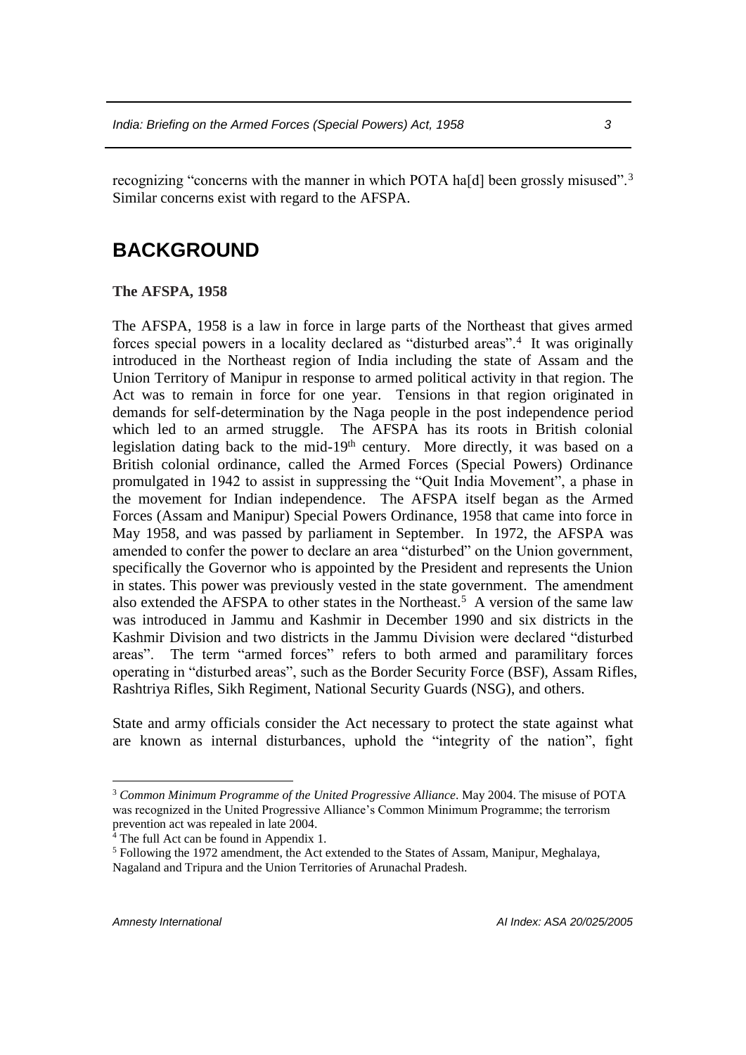recognizing "concerns with the manner in which POTA ha[d] been grossly misused".<sup>3</sup> Similar concerns exist with regard to the AFSPA.

### <span id="page-4-0"></span>**BACKGROUND**

#### <span id="page-4-1"></span>**The AFSPA, 1958**

The AFSPA, 1958 is a law in force in large parts of the Northeast that gives armed forces special powers in a locality declared as "disturbed areas".<sup>4</sup> It was originally introduced in the Northeast region of India including the state of Assam and the Union Territory of Manipur in response to armed political activity in that region. The Act was to remain in force for one year. Tensions in that region originated in demands for self-determination by the Naga people in the post independence period which led to an armed struggle. The AFSPA has its roots in British colonial legislation dating back to the mid-19th century. More directly, it was based on a British colonial ordinance, called the Armed Forces (Special Powers) Ordinance promulgated in 1942 to assist in suppressing the "Quit India Movement", a phase in the movement for Indian independence. The AFSPA itself began as the Armed Forces (Assam and Manipur) Special Powers Ordinance, 1958 that came into force in May 1958, and was passed by parliament in September. In 1972, the AFSPA was amended to confer the power to declare an area "disturbed" on the Union government, specifically the Governor who is appointed by the President and represents the Union in states. This power was previously vested in the state government. The amendment also extended the AFSPA to other states in the Northeast.<sup>5</sup> A version of the same law was introduced in Jammu and Kashmir in December 1990 and six districts in the Kashmir Division and two districts in the Jammu Division were declared "disturbed areas". The term "armed forces" refers to both armed and paramilitary forces operating in "disturbed areas", such as the Border Security Force (BSF), Assam Rifles, Rashtriya Rifles, Sikh Regiment, National Security Guards (NSG), and others.

State and army officials consider the Act necessary to protect the state against what are known as internal disturbances, uphold the "integrity of the nation", fight

<sup>3</sup> *Common Minimum Programme of the United Progressive Alliance*. May 2004. The misuse of POTA was recognized in the United Progressive Alliance's Common Minimum Programme; the terrorism prevention act was repealed in late 2004.

<sup>&</sup>lt;sup>4</sup> The full Act can be found in Appendix 1.

<sup>5</sup> Following the 1972 amendment, the Act extended to the States of Assam, Manipur, Meghalaya, Nagaland and Tripura and the Union Territories of Arunachal Pradesh.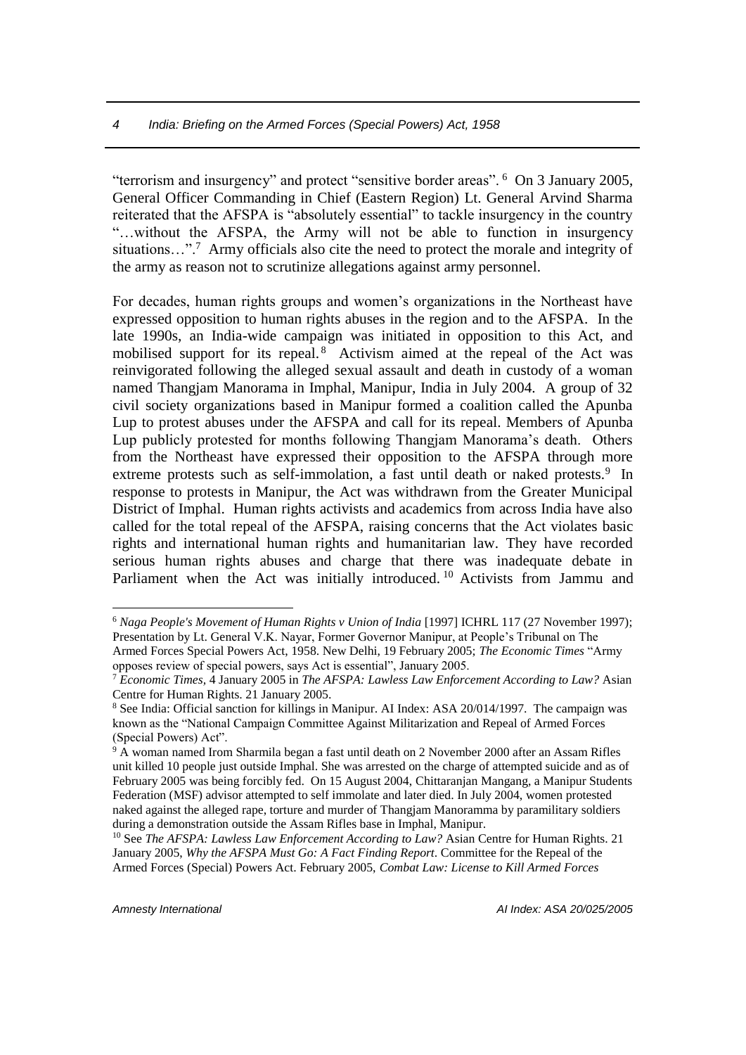"terrorism and insurgency" and protect "sensitive border areas". <sup>6</sup> On 3 January 2005, General Officer Commanding in Chief (Eastern Region) Lt. General Arvind Sharma reiterated that the AFSPA is "absolutely essential" to tackle insurgency in the country "…without the AFSPA, the Army will not be able to function in insurgency situations...".<sup>7</sup> Army officials also cite the need to protect the morale and integrity of the army as reason not to scrutinize allegations against army personnel.

For decades, human rights groups and women's organizations in the Northeast have expressed opposition to human rights abuses in the region and to the AFSPA. In the late 1990s, an India-wide campaign was initiated in opposition to this Act, and mobilised support for its repeal.<sup>8</sup> Activism aimed at the repeal of the Act was reinvigorated following the alleged sexual assault and death in custody of a woman named Thangjam Manorama in Imphal, Manipur, India in July 2004. A group of 32 civil society organizations based in Manipur formed a coalition called the Apunba Lup to protest abuses under the AFSPA and call for its repeal. Members of Apunba Lup publicly protested for months following Thangjam Manorama's death. Others from the Northeast have expressed their opposition to the AFSPA through more extreme protests such as self-immolation, a fast until death or naked protests.<sup>9</sup> In response to protests in Manipur, the Act was withdrawn from the Greater Municipal District of Imphal. Human rights activists and academics from across India have also called for the total repeal of the AFSPA, raising concerns that the Act violates basic rights and international human rights and humanitarian law. They have recorded serious human rights abuses and charge that there was inadequate debate in Parliament when the Act was initially introduced.<sup>10</sup> Activists from Jammu and

<sup>6</sup> *Naga People's Movement of Human Rights v Union of India* [1997] ICHRL 117 (27 November 1997); Presentation by Lt. General V.K. Nayar, Former Governor Manipur, at People's Tribunal on The Armed Forces Special Powers Act, 1958. New Delhi, 19 February 2005; *The Economic Times* "Army opposes review of special powers, says Act is essential", January 2005.

<sup>7</sup> *Economic Times,* 4 January 2005 in *The AFSPA: Lawless Law Enforcement According to Law?* Asian Centre for Human Rights. 21 January 2005.

<sup>8</sup> See India: Official sanction for killings in Manipur. AI Index: ASA 20/014/1997. The campaign was known as the "National Campaign Committee Against Militarization and Repeal of Armed Forces (Special Powers) Act".

<sup>&</sup>lt;sup>9</sup> A woman named Irom Sharmila began a fast until death on 2 November 2000 after an Assam Rifles unit killed 10 people just outside Imphal. She was arrested on the charge of attempted suicide and as of February 2005 was being forcibly fed. On 15 August 2004, Chittaranjan Mangang, a Manipur Students Federation (MSF) advisor attempted to self immolate and later died. In July 2004, women protested naked against the alleged rape, torture and murder of Thangjam Manoramma by paramilitary soldiers during a demonstration outside the Assam Rifles base in Imphal, Manipur.

<sup>&</sup>lt;sup>10</sup> See *The AFSPA: Lawless Law Enforcement According to Law?* Asian Centre for Human Rights. 21 January 2005, *Why the AFSPA Must Go: A Fact Finding Report*. Committee for the Repeal of the Armed Forces (Special) Powers Act. February 2005, *Combat Law: License to Kill Armed Forces*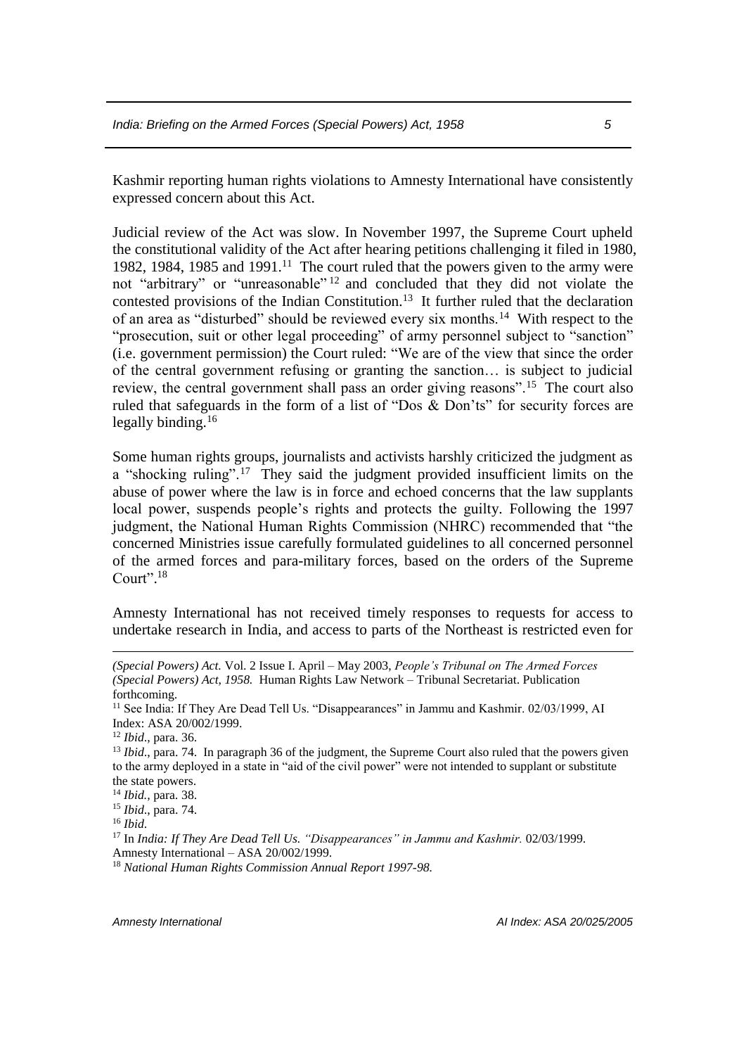Kashmir reporting human rights violations to Amnesty International have consistently expressed concern about this Act.

Judicial review of the Act was slow. In November 1997, the Supreme Court upheld the constitutional validity of the Act after hearing petitions challenging it filed in 1980, 1982, 1984, 1985 and 1991.<sup>11</sup> The court ruled that the powers given to the army were not "arbitrary" or "unreasonable" <sup>12</sup> and concluded that they did not violate the contested provisions of the Indian Constitution.<sup>13</sup> It further ruled that the declaration of an area as "disturbed" should be reviewed every six months.<sup>14</sup> With respect to the "prosecution, suit or other legal proceeding" of army personnel subject to "sanction" (i.e. government permission) the Court ruled: "We are of the view that since the order of the central government refusing or granting the sanction… is subject to judicial review, the central government shall pass an order giving reasons".<sup>15</sup> The court also ruled that safeguards in the form of a list of "Dos & Don'ts" for security forces are legally binding.<sup>16</sup>

Some human rights groups, journalists and activists harshly criticized the judgment as a "shocking ruling".<sup>17</sup> They said the judgment provided insufficient limits on the abuse of power where the law is in force and echoed concerns that the law supplants local power, suspends people's rights and protects the guilty. Following the 1997 judgment, the National Human Rights Commission (NHRC) recommended that "the concerned Ministries issue carefully formulated guidelines to all concerned personnel of the armed forces and para-military forces, based on the orders of the Supreme Court". 18

Amnesty International has not received timely responses to requests for access to undertake research in India, and access to parts of the Northeast is restricted even for

1

*<sup>(</sup>Special Powers) Act.* Vol. 2 Issue I. April – May 2003, *People's Tribunal on The Armed Forces (Special Powers) Act, 1958.* Human Rights Law Network – Tribunal Secretariat. Publication forthcoming.

<sup>&</sup>lt;sup>11</sup> See India: If They Are Dead Tell Us. "Disappearances" in Jammu and Kashmir. 02/03/1999, AI Index: ASA 20/002/1999.

<sup>12</sup> *Ibid*., para. 36.

<sup>&</sup>lt;sup>13</sup> *Ibid.*, para. 74. In paragraph 36 of the judgment, the Supreme Court also ruled that the powers given to the army deployed in a state in "aid of the civil power" were not intended to supplant or substitute the state powers.

<sup>14</sup> *Ibid.,* para*.* 38.

<sup>15</sup> *Ibid*., para. 74.

<sup>16</sup> *Ibid*.

<sup>17</sup> In *India: If They Are Dead Tell Us. "Disappearances" in Jammu and Kashmir.* 02/03/1999. Amnesty International – ASA 20/002/1999.

<sup>18</sup> *National Human Rights Commission Annual Report 1997-98.*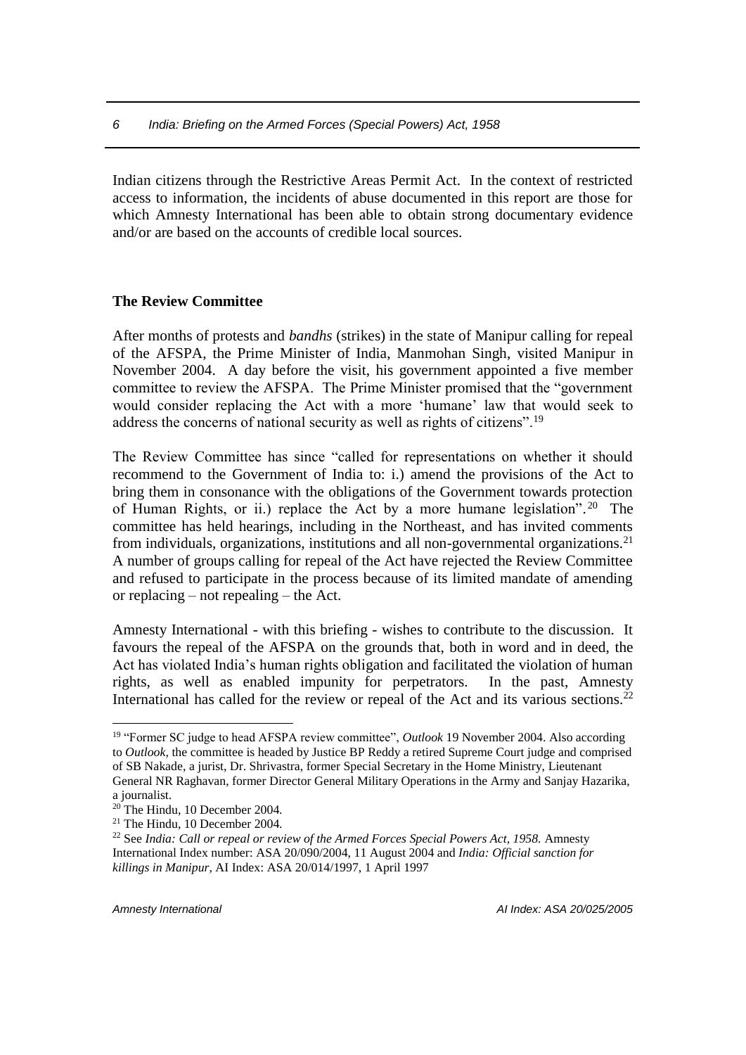Indian citizens through the Restrictive Areas Permit Act. In the context of restricted access to information, the incidents of abuse documented in this report are those for which Amnesty International has been able to obtain strong documentary evidence and/or are based on the accounts of credible local sources.

#### **The Review Committee**

After months of protests and *bandhs* (strikes) in the state of Manipur calling for repeal of the AFSPA, the Prime Minister of India, Manmohan Singh, visited Manipur in November 2004. A day before the visit, his government appointed a five member committee to review the AFSPA. The Prime Minister promised that the "government would consider replacing the Act with a more 'humane' law that would seek to address the concerns of national security as well as rights of citizens".<sup>19</sup>

The Review Committee has since "called for representations on whether it should recommend to the Government of India to: i.) amend the provisions of the Act to bring them in consonance with the obligations of the Government towards protection of Human Rights, or ii.) replace the Act by a more humane legislation".<sup>20</sup> The committee has held hearings, including in the Northeast, and has invited comments from individuals, organizations, institutions and all non-governmental organizations.<sup>21</sup> A number of groups calling for repeal of the Act have rejected the Review Committee and refused to participate in the process because of its limited mandate of amending or replacing – not repealing – the Act.

Amnesty International - with this briefing - wishes to contribute to the discussion. It favours the repeal of the AFSPA on the grounds that, both in word and in deed, the Act has violated India's human rights obligation and facilitated the violation of human rights, as well as enabled impunity for perpetrators. In the past, Amnesty International has called for the review or repeal of the Act and its various sections.<sup>22</sup>

<sup>&</sup>lt;sup>19</sup> "Former SC judge to head AFSPA review committee", *Outlook* 19 November 2004. Also according to *Outlook,* the committee is headed by Justice BP Reddy a retired Supreme Court judge and comprised of SB Nakade, a jurist, Dr. Shrivastra, former Special Secretary in the Home Ministry, Lieutenant General NR Raghavan, former Director General Military Operations in the Army and Sanjay Hazarika, a journalist.

 $20$  The Hindu, 10 December 2004.

<sup>21</sup> The Hindu, 10 December 2004.

<sup>22</sup> See *India: Call or repeal or review of the Armed Forces Special Powers Act, 1958.* Amnesty International Index number: ASA 20/090/2004, 11 August 2004 and *India: Official sanction for killings in Manipur*, AI Index: ASA 20/014/1997, 1 April 1997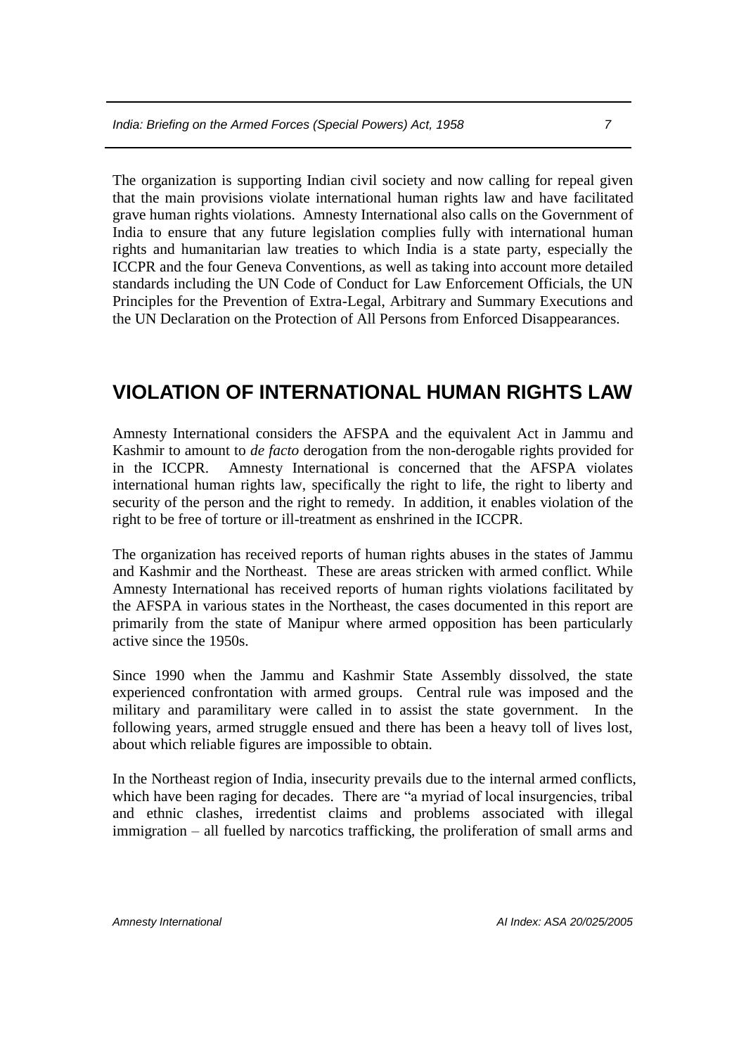The organization is supporting Indian civil society and now calling for repeal given that the main provisions violate international human rights law and have facilitated grave human rights violations. Amnesty International also calls on the Government of India to ensure that any future legislation complies fully with international human rights and humanitarian law treaties to which India is a state party, especially the ICCPR and the four Geneva Conventions, as well as taking into account more detailed standards including the UN Code of Conduct for Law Enforcement Officials, the UN Principles for the Prevention of Extra-Legal, Arbitrary and Summary Executions and the UN Declaration on the Protection of All Persons from Enforced Disappearances.

# <span id="page-8-0"></span>**VIOLATION OF INTERNATIONAL HUMAN RIGHTS LAW**

Amnesty International considers the AFSPA and the equivalent Act in Jammu and Kashmir to amount to *de facto* derogation from the non-derogable rights provided for in the ICCPR. Amnesty International is concerned that the AFSPA violates international human rights law, specifically the right to life, the right to liberty and security of the person and the right to remedy. In addition, it enables violation of the right to be free of torture or ill-treatment as enshrined in the ICCPR.

The organization has received reports of human rights abuses in the states of Jammu and Kashmir and the Northeast. These are areas stricken with armed conflict. While Amnesty International has received reports of human rights violations facilitated by the AFSPA in various states in the Northeast, the cases documented in this report are primarily from the state of Manipur where armed opposition has been particularly active since the 1950s.

Since 1990 when the Jammu and Kashmir State Assembly dissolved, the state experienced confrontation with armed groups. Central rule was imposed and the military and paramilitary were called in to assist the state government. In the following years, armed struggle ensued and there has been a heavy toll of lives lost, about which reliable figures are impossible to obtain.

In the Northeast region of India, insecurity prevails due to the internal armed conflicts, which have been raging for decades. There are "a myriad of local insurgencies, tribal and ethnic clashes, irredentist claims and problems associated with illegal immigration – all fuelled by narcotics trafficking, the proliferation of small arms and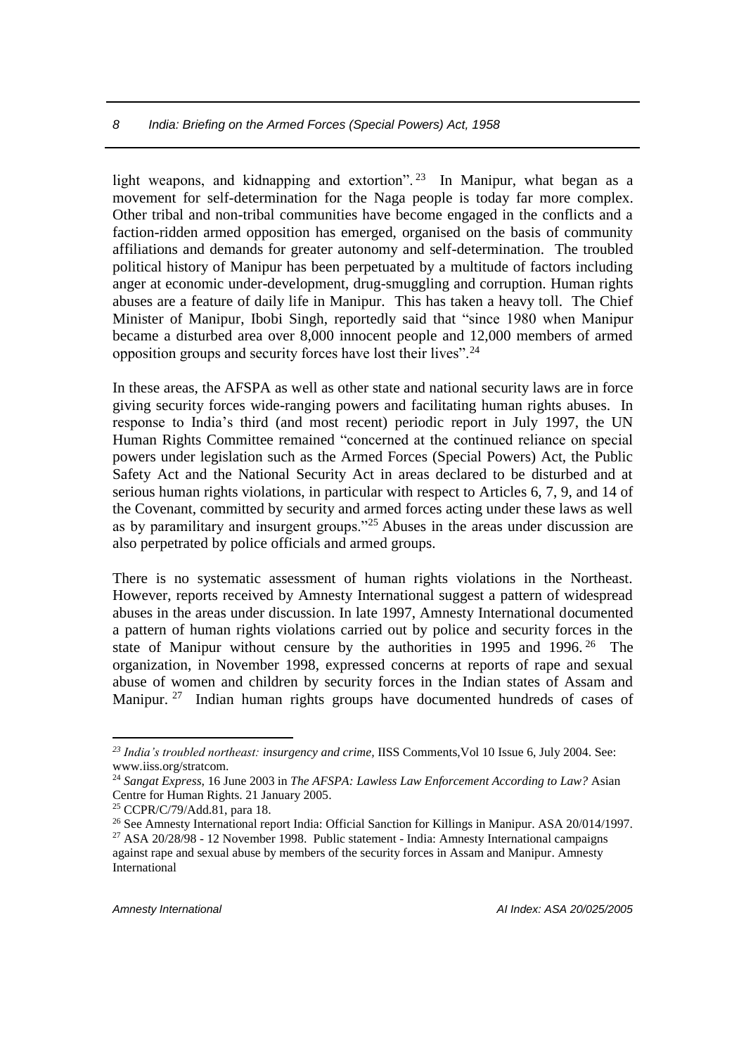light weapons, and kidnapping and extortion".<sup>23</sup> In Manipur, what began as a movement for self-determination for the Naga people is today far more complex. Other tribal and non-tribal communities have become engaged in the conflicts and a faction-ridden armed opposition has emerged, organised on the basis of community affiliations and demands for greater autonomy and self-determination. The troubled political history of Manipur has been perpetuated by a multitude of factors including anger at economic under-development, drug-smuggling and corruption. Human rights abuses are a feature of daily life in Manipur. This has taken a heavy toll. The Chief Minister of Manipur, Ibobi Singh, reportedly said that "since 1980 when Manipur became a disturbed area over 8,000 innocent people and 12,000 members of armed opposition groups and security forces have lost their lives".<sup>24</sup>

In these areas, the AFSPA as well as other state and national security laws are in force giving security forces wide-ranging powers and facilitating human rights abuses. In response to India's third (and most recent) periodic report in July 1997, the UN Human Rights Committee remained "concerned at the continued reliance on special powers under legislation such as the Armed Forces (Special Powers) Act, the Public Safety Act and the National Security Act in areas declared to be disturbed and at serious human rights violations, in particular with respect to Articles 6, 7, 9, and 14 of the Covenant, committed by security and armed forces acting under these laws as well as by paramilitary and insurgent groups."<sup>25</sup> Abuses in the areas under discussion are also perpetrated by police officials and armed groups.

There is no systematic assessment of human rights violations in the Northeast. However, reports received by Amnesty International suggest a pattern of widespread abuses in the areas under discussion. In late 1997, Amnesty International documented a pattern of human rights violations carried out by police and security forces in the state of Manipur without censure by the authorities in 1995 and 1996.<sup>26</sup> The organization, in November 1998, expressed concerns at reports of rape and sexual abuse of women and children by security forces in the Indian states of Assam and Manipur.<sup>27</sup> Indian human rights groups have documented hundreds of cases of

*<sup>23</sup> India's troubled northeast: insurgency and crime,* IISS Comments,Vol 10 Issue 6, July 2004. See: www.iiss.org/stratcom.

<sup>24</sup> *Sangat Express*, 16 June 2003 in *The AFSPA: Lawless Law Enforcement According to Law?* Asian Centre for Human Rights. 21 January 2005.

<sup>25</sup> CCPR/C/79/Add.81, para 18.

<sup>&</sup>lt;sup>26</sup> See Amnesty International report India: Official Sanction for Killings in Manipur. ASA 20/014/1997. <sup>27</sup> ASA 20/28/98 - 12 November 1998. Public statement - India: Amnesty International campaigns against rape and sexual abuse by members of the security forces in Assam and Manipur. Amnesty International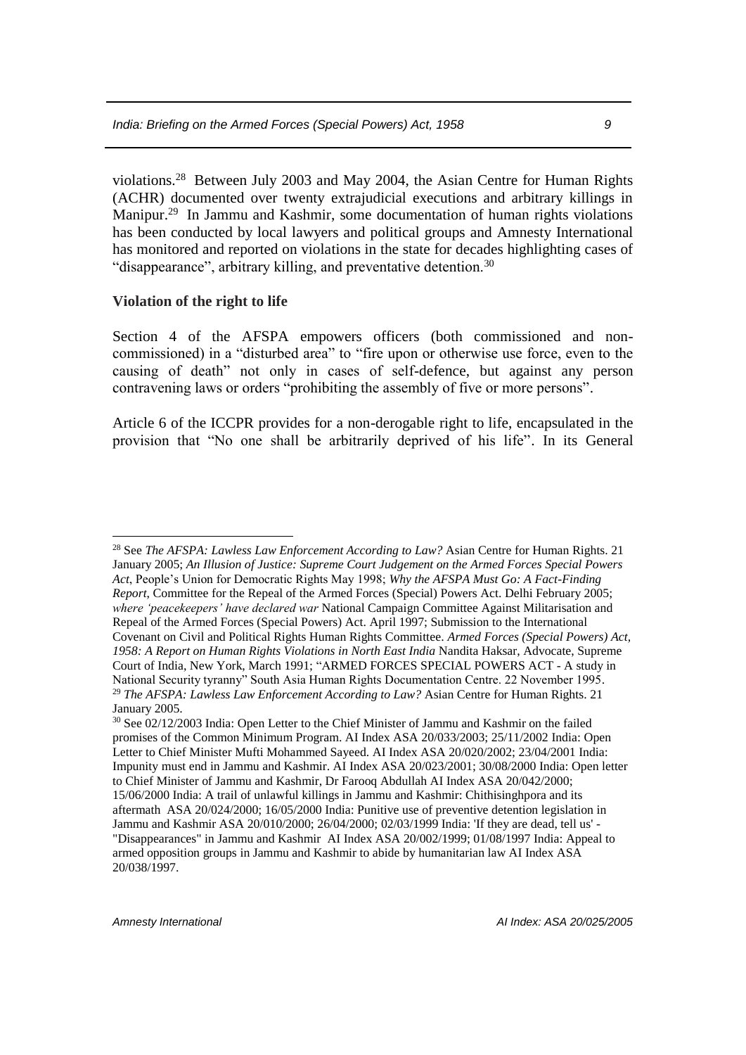violations.<sup>28</sup> Between July 2003 and May 2004, the Asian Centre for Human Rights (ACHR) documented over twenty extrajudicial executions and arbitrary killings in Manipur.<sup>29</sup> In Jammu and Kashmir, some documentation of human rights violations has been conducted by local lawyers and political groups and Amnesty International has monitored and reported on violations in the state for decades highlighting cases of "disappearance", arbitrary killing, and preventative detention.<sup>30</sup>

#### <span id="page-10-0"></span>**Violation of the right to life**

Section 4 of the AFSPA empowers officers (both commissioned and noncommissioned) in a "disturbed area" to "fire upon or otherwise use force, even to the causing of death" not only in cases of self-defence, but against any person contravening laws or orders "prohibiting the assembly of five or more persons".

Article 6 of the ICCPR provides for a non-derogable right to life, encapsulated in the provision that "No one shall be arbitrarily deprived of his life". In its General

<sup>&</sup>lt;sup>28</sup> See *The AFSPA: Lawless Law Enforcement According to Law?* Asian Centre for Human Rights. 21 January 2005; *An Illusion of Justice: Supreme Court Judgement on the Armed Forces Special Powers Act*, People's Union for Democratic Rights May 1998; *Why the AFSPA Must Go: A Fact-Finding Report*, Committee for the Repeal of the Armed Forces (Special) Powers Act. Delhi February 2005; *where 'peacekeepers' have declared war* National Campaign Committee Against Militarisation and Repeal of the Armed Forces (Special Powers) Act. April 1997; Submission to the International Covenant on Civil and Political Rights Human Rights Committee. *Armed Forces (Special Powers) Act, 1958: A Report on Human Rights Violations in North East India* Nandita Haksar, Advocate, Supreme Court of India, New York, March 1991; "ARMED FORCES SPECIAL POWERS ACT - A study in National Security tyranny" South Asia Human Rights Documentation Centre. 22 November 1995. <sup>29</sup> *The AFSPA: Lawless Law Enforcement According to Law?* Asian Centre for Human Rights. 21 January 2005.

<sup>&</sup>lt;sup>30</sup> See 02/12/2003 India: Open Letter to the Chief Minister of Jammu and Kashmir on the failed promises of the Common Minimum Program. AI Index ASA 20/033/2003; 25/11/2002 India: Open Letter to Chief Minister Mufti Mohammed Sayeed. AI Index ASA 20/020/2002; 23/04/2001 India: Impunity must end in Jammu and Kashmir. AI Index ASA 20/023/2001; 30/08/2000 India: Open letter to Chief Minister of Jammu and Kashmir, Dr Farooq Abdullah AI Index ASA 20/042/2000; 15/06/2000 India: A trail of unlawful killings in Jammu and Kashmir: Chithisinghpora and its aftermath ASA 20/024/2000; 16/05/2000 India: Punitive use of preventive detention legislation in Jammu and Kashmir ASA 20/010/2000; 26/04/2000; 02/03/1999 India: 'If they are dead, tell us' - "Disappearances" in Jammu and Kashmir AI Index ASA 20/002/1999; 01/08/1997 India: Appeal to armed opposition groups in Jammu and Kashmir to abide by humanitarian law AI Index ASA 20/038/1997.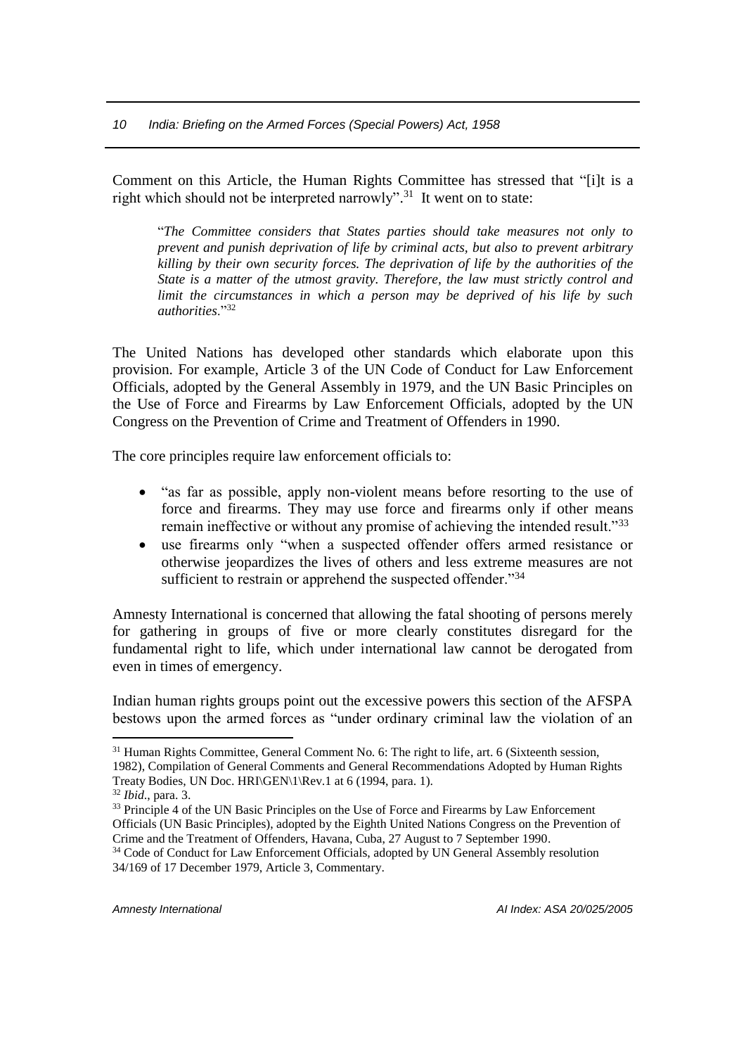Comment on this Article, the Human Rights Committee has stressed that "[i]t is a right which should not be interpreted narrowly".<sup>31</sup> It went on to state:

"*The Committee considers that States parties should take measures not only to prevent and punish deprivation of life by criminal acts, but also to prevent arbitrary killing by their own security forces. The deprivation of life by the authorities of the State is a matter of the utmost gravity. Therefore, the law must strictly control and limit the circumstances in which a person may be deprived of his life by such authorities*."<sup>32</sup>

The United Nations has developed other standards which elaborate upon this provision. For example, Article 3 of the UN Code of Conduct for Law Enforcement Officials, adopted by the General Assembly in 1979, and the UN Basic Principles on the Use of Force and Firearms by Law Enforcement Officials, adopted by the UN Congress on the Prevention of Crime and Treatment of Offenders in 1990.

The core principles require law enforcement officials to:

- "as far as possible, apply non-violent means before resorting to the use of force and firearms. They may use force and firearms only if other means remain ineffective or without any promise of achieving the intended result."<sup>33</sup>
- use firearms only "when a suspected offender offers armed resistance or otherwise jeopardizes the lives of others and less extreme measures are not sufficient to restrain or apprehend the suspected offender."<sup>34</sup>

Amnesty International is concerned that allowing the fatal shooting of persons merely for gathering in groups of five or more clearly constitutes disregard for the fundamental right to life, which under international law cannot be derogated from even in times of emergency.

Indian human rights groups point out the excessive powers this section of the AFSPA bestows upon the armed forces as "under ordinary criminal law the violation of an

<sup>&</sup>lt;sup>31</sup> Human Rights Committee, General Comment No. 6: The right to life, art. 6 (Sixteenth session, 1982), Compilation of General Comments and General Recommendations Adopted by Human Rights

Treaty Bodies, UN Doc. HRI\GEN\1\Rev.1 at 6 (1994, para. 1).

<sup>32</sup> *Ibid*., para. 3.

<sup>&</sup>lt;sup>33</sup> Principle 4 of the UN Basic Principles on the Use of Force and Firearms by Law Enforcement Officials (UN Basic Principles), adopted by the Eighth United Nations Congress on the Prevention of Crime and the Treatment of Offenders, Havana, Cuba, 27 August to 7 September 1990.

<sup>&</sup>lt;sup>34</sup> Code of Conduct for Law Enforcement Officials, adopted by UN General Assembly resolution 34/169 of 17 December 1979, Article 3, Commentary.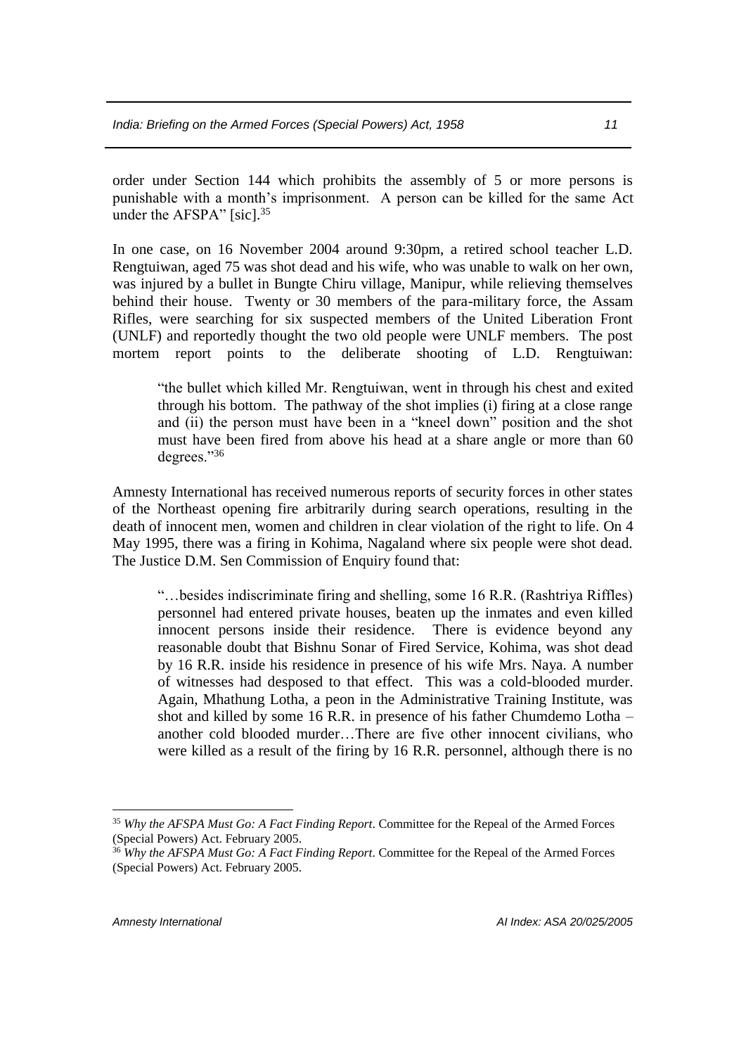order under Section 144 which prohibits the assembly of 5 or more persons is punishable with a month's imprisonment. A person can be killed for the same Act under the AFSPA" [sic]. 35

In one case, on 16 November 2004 around 9:30pm, a retired school teacher L.D. Rengtuiwan, aged 75 was shot dead and his wife, who was unable to walk on her own, was injured by a bullet in Bungte Chiru village, Manipur, while relieving themselves behind their house. Twenty or 30 members of the para-military force, the Assam Rifles, were searching for six suspected members of the United Liberation Front (UNLF) and reportedly thought the two old people were UNLF members. The post mortem report points to the deliberate shooting of L.D. Rengtuiwan:

"the bullet which killed Mr. Rengtuiwan, went in through his chest and exited through his bottom. The pathway of the shot implies (i) firing at a close range and (ii) the person must have been in a "kneel down" position and the shot must have been fired from above his head at a share angle or more than 60 degrees."<sup>36</sup>

Amnesty International has received numerous reports of security forces in other states of the Northeast opening fire arbitrarily during search operations, resulting in the death of innocent men, women and children in clear violation of the right to life. On 4 May 1995, there was a firing in Kohima, Nagaland where six people were shot dead. The Justice D.M. Sen Commission of Enquiry found that:

"…besides indiscriminate firing and shelling, some 16 R.R. (Rashtriya Riffles) personnel had entered private houses, beaten up the inmates and even killed innocent persons inside their residence. There is evidence beyond any reasonable doubt that Bishnu Sonar of Fired Service, Kohima, was shot dead by 16 R.R. inside his residence in presence of his wife Mrs. Naya. A number of witnesses had desposed to that effect. This was a cold-blooded murder. Again, Mhathung Lotha, a peon in the Administrative Training Institute, was shot and killed by some 16 R.R. in presence of his father Chumdemo Lotha – another cold blooded murder…There are five other innocent civilians, who were killed as a result of the firing by 16 R.R. personnel, although there is no

<sup>35</sup> *Why the AFSPA Must Go: A Fact Finding Report*. Committee for the Repeal of the Armed Forces (Special Powers) Act. February 2005.

<sup>36</sup> *Why the AFSPA Must Go: A Fact Finding Report*. Committee for the Repeal of the Armed Forces (Special Powers) Act. February 2005.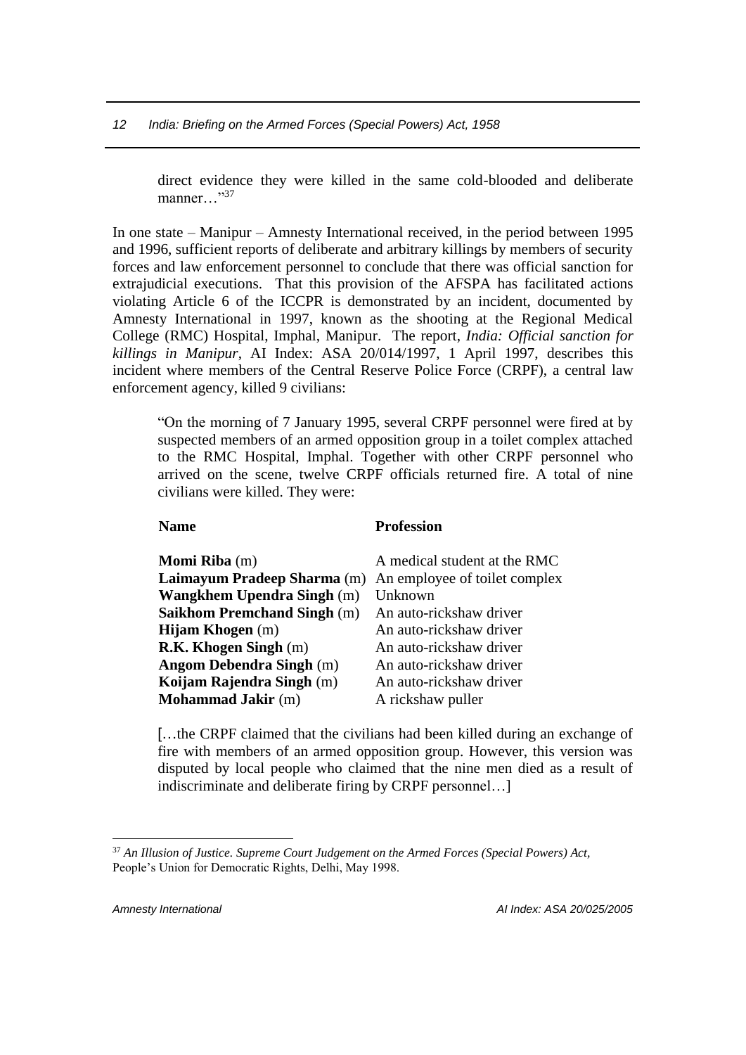direct evidence they were killed in the same cold-blooded and deliberate manner…"<sup>37</sup>

In one state – Manipur – Amnesty International received, in the period between 1995 and 1996, sufficient reports of deliberate and arbitrary killings by members of security forces and law enforcement personnel to conclude that there was official sanction for extrajudicial executions. That this provision of the AFSPA has facilitated actions violating Article 6 of the ICCPR is demonstrated by an incident, documented by Amnesty International in 1997, known as the shooting at the Regional Medical College (RMC) Hospital, Imphal, Manipur. The report, *India: Official sanction for killings in Manipur*, AI Index: ASA 20/014/1997, 1 April 1997, describes this incident where members of the Central Reserve Police Force (CRPF), a central law enforcement agency, killed 9 civilians:

"On the morning of 7 January 1995, several CRPF personnel were fired at by suspected members of an armed opposition group in a toilet complex attached to the RMC Hospital, Imphal. Together with other CRPF personnel who arrived on the scene, twelve CRPF officials returned fire. A total of nine civilians were killed. They were:

#### **Name**

#### **Profession**

| <b>Momi Riba</b> (m)                                      | A medical student at the RMC |
|-----------------------------------------------------------|------------------------------|
| Laimayum Pradeep Sharma (m) An employee of toilet complex |                              |
| <b>Wangkhem Upendra Singh (m)</b>                         | Unknown                      |
| <b>Saikhom Premchand Singh (m)</b>                        | An auto-rickshaw driver      |
| <b>Hijam Khogen</b> (m)                                   | An auto-rickshaw driver      |
| <b>R.K. Khogen Singh (m)</b>                              | An auto-rickshaw driver      |
| <b>Angom Debendra Singh (m)</b>                           | An auto-rickshaw driver      |
| Koijam Rajendra Singh (m)                                 | An auto-rickshaw driver      |
| <b>Mohammad Jakir</b> (m)                                 | A rickshaw puller            |

[…the CRPF claimed that the civilians had been killed during an exchange of fire with members of an armed opposition group. However, this version was disputed by local people who claimed that the nine men died as a result of indiscriminate and deliberate firing by CRPF personnel…]

<sup>37</sup> *An Illusion of Justice. Supreme Court Judgement on the Armed Forces (Special Powers) Act,*  People's Union for Democratic Rights, Delhi, May 1998.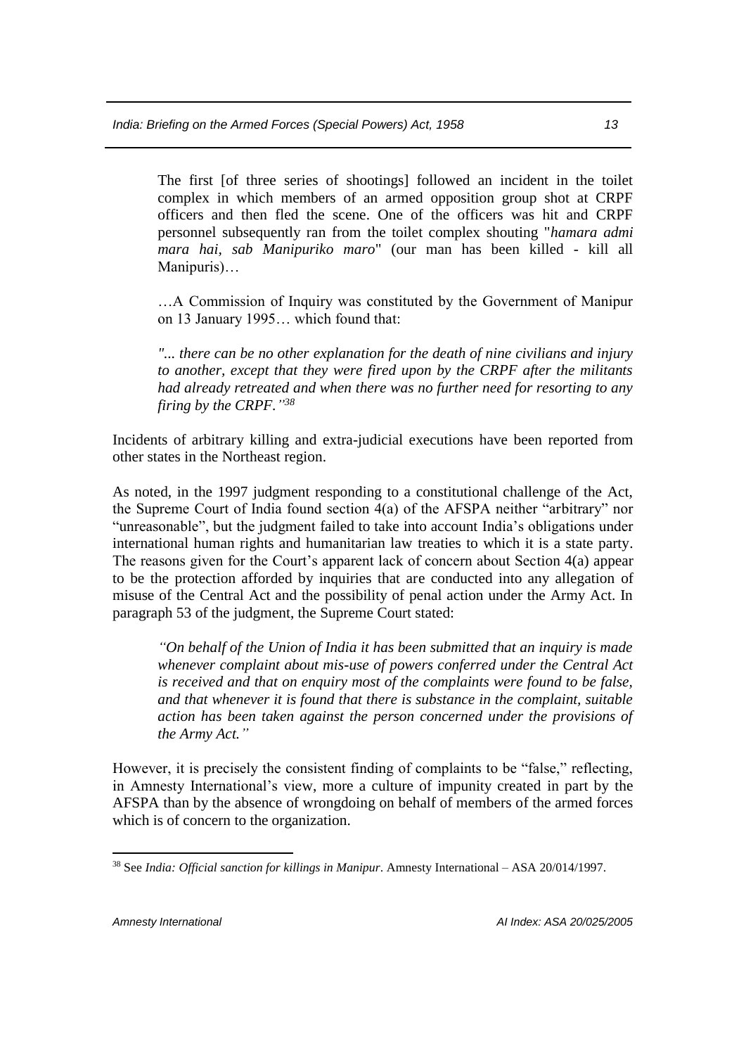The first [of three series of shootings] followed an incident in the toilet complex in which members of an armed opposition group shot at CRPF officers and then fled the scene. One of the officers was hit and CRPF personnel subsequently ran from the toilet complex shouting "*hamara admi mara hai, sab Manipuriko maro*" (our man has been killed - kill all Manipuris)…

…A Commission of Inquiry was constituted by the Government of Manipur on 13 January 1995… which found that:

*"... there can be no other explanation for the death of nine civilians and injury to another, except that they were fired upon by the CRPF after the militants had already retreated and when there was no further need for resorting to any firing by the CRPF." 38*

Incidents of arbitrary killing and extra-judicial executions have been reported from other states in the Northeast region.

As noted, in the 1997 judgment responding to a constitutional challenge of the Act, the Supreme Court of India found section 4(a) of the AFSPA neither "arbitrary" nor "unreasonable", but the judgment failed to take into account India's obligations under international human rights and humanitarian law treaties to which it is a state party. The reasons given for the Court's apparent lack of concern about Section 4(a) appear to be the protection afforded by inquiries that are conducted into any allegation of misuse of the Central Act and the possibility of penal action under the Army Act. In paragraph 53 of the judgment, the Supreme Court stated:

*"On behalf of the Union of India it has been submitted that an inquiry is made whenever complaint about mis-use of powers conferred under the Central Act is received and that on enquiry most of the complaints were found to be false, and that whenever it is found that there is substance in the complaint, suitable action has been taken against the person concerned under the provisions of the Army Act."*

However, it is precisely the consistent finding of complaints to be "false," reflecting, in Amnesty International's view, more a culture of impunity created in part by the AFSPA than by the absence of wrongdoing on behalf of members of the armed forces which is of concern to the organization.

<sup>38</sup> See *India: Official sanction for killings in Manipur*. Amnesty International – ASA 20/014/1997.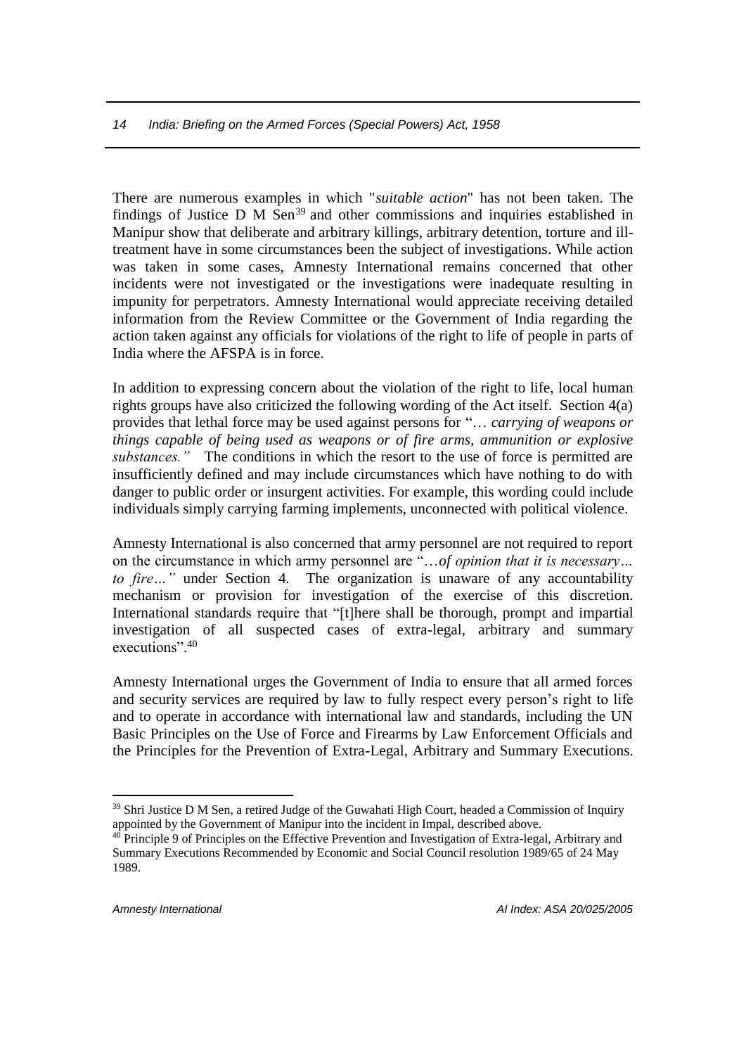There are numerous examples in which "*suitable action*" has not been taken. The findings of Justice D M Sen<sup>39</sup> and other commissions and inquiries established in Manipur show that deliberate and arbitrary killings, arbitrary detention, torture and illtreatment have in some circumstances been the subject of investigations. While action was taken in some cases, Amnesty International remains concerned that other incidents were not investigated or the investigations were inadequate resulting in impunity for perpetrators. Amnesty International would appreciate receiving detailed information from the Review Committee or the Government of India regarding the action taken against any officials for violations of the right to life of people in parts of India where the AFSPA is in force.

In addition to expressing concern about the violation of the right to life, local human rights groups have also criticized the following wording of the Act itself. Section 4(a) provides that lethal force may be used against persons for "… *carrying of weapons or things capable of being used as weapons or of fire arms, ammunition or explosive substances."* The conditions in which the resort to the use of force is permitted are insufficiently defined and may include circumstances which have nothing to do with danger to public order or insurgent activities. For example, this wording could include individuals simply carrying farming implements, unconnected with political violence.

Amnesty International is also concerned that army personnel are not required to report on the circumstance in which army personnel are "…*of opinion that it is necessary… to fire…"* under Section 4*.* The organization is unaware of any accountability mechanism or provision for investigation of the exercise of this discretion. International standards require that "[t]here shall be thorough, prompt and impartial investigation of all suspected cases of extra-legal, arbitrary and summary executions". 40

Amnesty International urges the Government of India to ensure that all armed forces and security services are required by law to fully respect every person's right to life and to operate in accordance with international law and standards, including the UN Basic Principles on the Use of Force and Firearms by Law Enforcement Officials and the Principles for the Prevention of Extra-Legal, Arbitrary and Summary Executions.

<sup>&</sup>lt;sup>39</sup> Shri Justice D M Sen, a retired Judge of the Guwahati High Court, headed a Commission of Inquiry appointed by the Government of Manipur into the incident in Impal, described above.

<sup>&</sup>lt;sup>40</sup> Principle 9 of Principles on the Effective Prevention and Investigation of Extra-legal, Arbitrary and Summary Executions Recommended by Economic and Social Council resolution 1989/65 of 24 May 1989.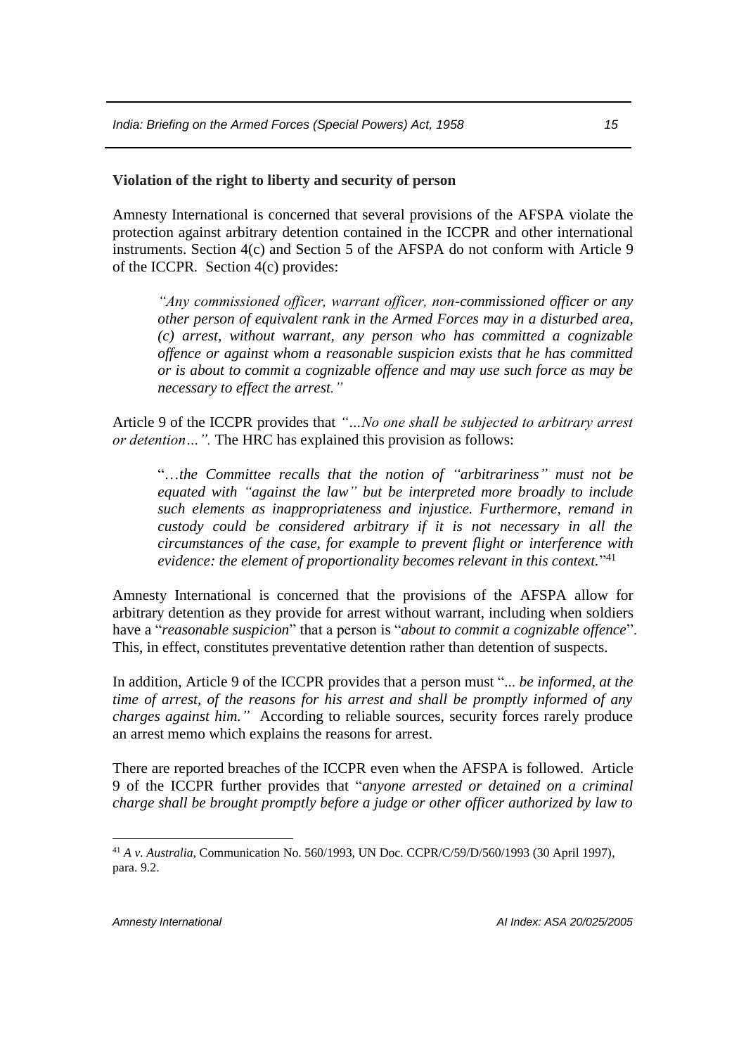#### <span id="page-16-0"></span>**Violation of the right to liberty and security of person**

Amnesty International is concerned that several provisions of the AFSPA violate the protection against arbitrary detention contained in the ICCPR and other international instruments. Section 4(c) and Section 5 of the AFSPA do not conform with Article 9 of the ICCPR*.* Section 4(c) provides:

*"Any commissioned officer, warrant officer, non-commissioned officer or any other person of equivalent rank in the Armed Forces may in a disturbed area, (c) arrest, without warrant, any person who has committed a cognizable offence or against whom a reasonable suspicion exists that he has committed or is about to commit a cognizable offence and may use such force as may be necessary to effect the arrest."*

Article 9 of the ICCPR provides that *"…No one shall be subjected to arbitrary arrest or detention…".* The HRC has explained this provision as follows:

"…*the Committee recalls that the notion of "arbitrariness" must not be equated with "against the law" but be interpreted more broadly to include such elements as inappropriateness and injustice. Furthermore, remand in custody could be considered arbitrary if it is not necessary in all the circumstances of the case, for example to prevent flight or interference with evidence: the element of proportionality becomes relevant in this context.*" 41

Amnesty International is concerned that the provisions of the AFSPA allow for arbitrary detention as they provide for arrest without warrant, including when soldiers have a "*reasonable suspicion*" that a person is "*about to commit a cognizable offence*". This, in effect, constitutes preventative detention rather than detention of suspects.

In addition, Article 9 of the ICCPR provides that a person must "... *be informed, at the time of arrest, of the reasons for his arrest and shall be promptly informed of any charges against him."* According to reliable sources, security forces rarely produce an arrest memo which explains the reasons for arrest.

There are reported breaches of the ICCPR even when the AFSPA is followed. Article 9 of the ICCPR further provides that "*anyone arrested or detained on a criminal charge shall be brought promptly before a judge or other officer authorized by law to* 

<sup>41</sup> *A v. Australia*, Communication No. 560/1993, UN Doc. CCPR/C/59/D/560/1993 (30 April 1997), para. 9.2.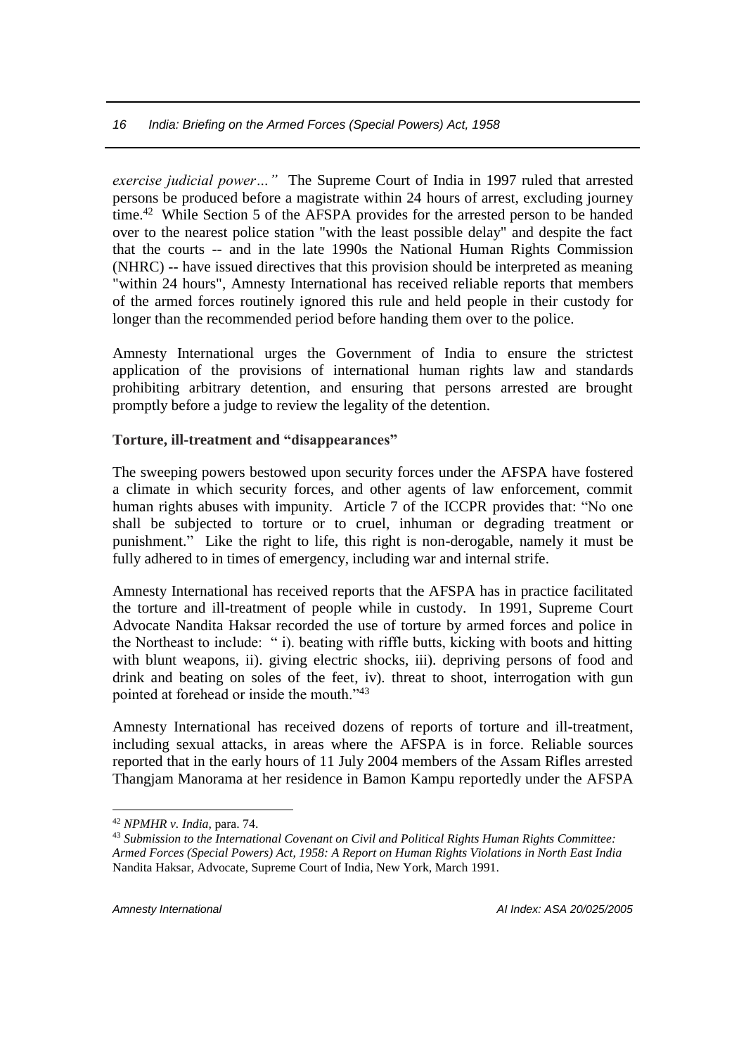*exercise judicial power…"* The Supreme Court of India in 1997 ruled that arrested persons be produced before a magistrate within 24 hours of arrest, excluding journey time.<sup>42</sup> While Section 5 of the AFSPA provides for the arrested person to be handed over to the nearest police station "with the least possible delay" and despite the fact that the courts -- and in the late 1990s the National Human Rights Commission (NHRC) -- have issued directives that this provision should be interpreted as meaning "within 24 hours", Amnesty International has received reliable reports that members of the armed forces routinely ignored this rule and held people in their custody for longer than the recommended period before handing them over to the police.

Amnesty International urges the Government of India to ensure the strictest application of the provisions of international human rights law and standards prohibiting arbitrary detention, and ensuring that persons arrested are brought promptly before a judge to review the legality of the detention.

#### <span id="page-17-0"></span>**Torture, ill-treatment and "disappearances"**

The sweeping powers bestowed upon security forces under the AFSPA have fostered a climate in which security forces, and other agents of law enforcement, commit human rights abuses with impunity. Article 7 of the ICCPR provides that: "No one shall be subjected to torture or to cruel, inhuman or degrading treatment or punishment." Like the right to life, this right is non-derogable, namely it must be fully adhered to in times of emergency, including war and internal strife.

Amnesty International has received reports that the AFSPA has in practice facilitated the torture and ill-treatment of people while in custody. In 1991, Supreme Court Advocate Nandita Haksar recorded the use of torture by armed forces and police in the Northeast to include: " i). beating with riffle butts, kicking with boots and hitting with blunt weapons, ii). giving electric shocks, iii). depriving persons of food and drink and beating on soles of the feet, iv). threat to shoot, interrogation with gun pointed at forehead or inside the mouth."<sup>43</sup>

Amnesty International has received dozens of reports of torture and ill-treatment, including sexual attacks, in areas where the AFSPA is in force. Reliable sources reported that in the early hours of 11 July 2004 members of the Assam Rifles arrested Thangjam Manorama at her residence in Bamon Kampu reportedly under the AFSPA

<sup>42</sup> *NPMHR v. India,* para. 74.

<sup>43</sup> *Submission to the International Covenant on Civil and Political Rights Human Rights Committee: Armed Forces (Special Powers) Act, 1958: A Report on Human Rights Violations in North East India* Nandita Haksar, Advocate, Supreme Court of India, New York, March 1991.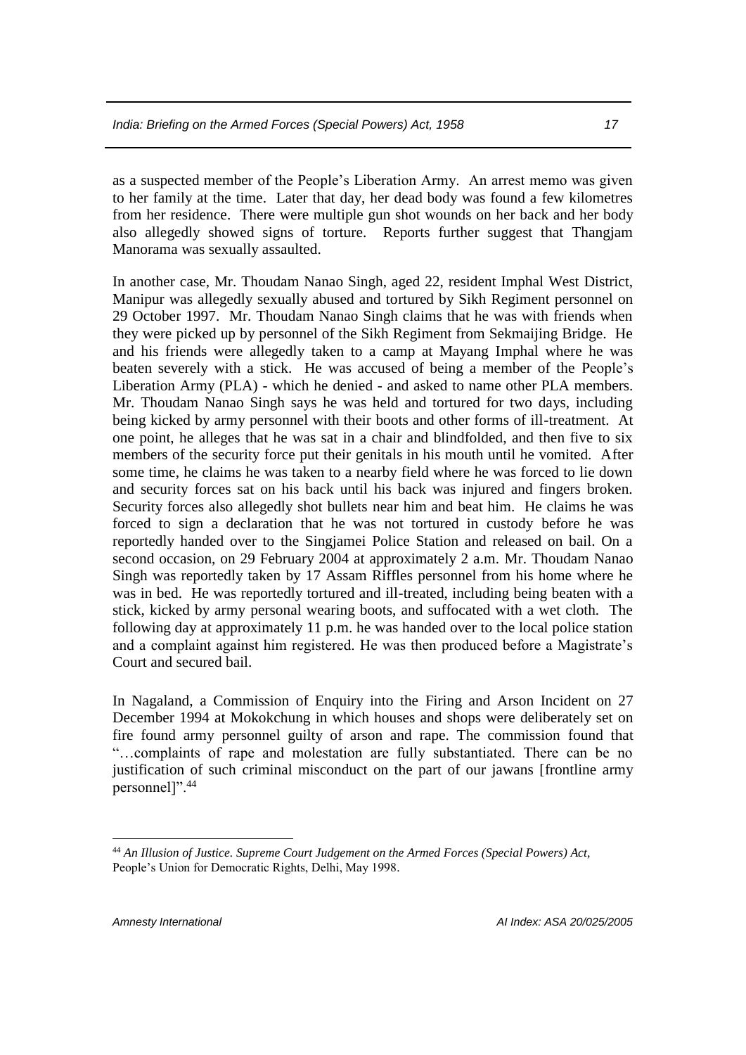as a suspected member of the People's Liberation Army. An arrest memo was given to her family at the time. Later that day, her dead body was found a few kilometres from her residence. There were multiple gun shot wounds on her back and her body also allegedly showed signs of torture. Reports further suggest that Thangjam Manorama was sexually assaulted.

In another case, Mr. Thoudam Nanao Singh, aged 22, resident Imphal West District, Manipur was allegedly sexually abused and tortured by Sikh Regiment personnel on 29 October 1997. Mr. Thoudam Nanao Singh claims that he was with friends when they were picked up by personnel of the Sikh Regiment from Sekmaijing Bridge. He and his friends were allegedly taken to a camp at Mayang Imphal where he was beaten severely with a stick. He was accused of being a member of the People's Liberation Army (PLA) - which he denied - and asked to name other PLA members. Mr. Thoudam Nanao Singh says he was held and tortured for two days, including being kicked by army personnel with their boots and other forms of ill-treatment. At one point, he alleges that he was sat in a chair and blindfolded, and then five to six members of the security force put their genitals in his mouth until he vomited. After some time, he claims he was taken to a nearby field where he was forced to lie down and security forces sat on his back until his back was injured and fingers broken. Security forces also allegedly shot bullets near him and beat him. He claims he was forced to sign a declaration that he was not tortured in custody before he was reportedly handed over to the Singjamei Police Station and released on bail. On a second occasion, on 29 February 2004 at approximately 2 a.m. Mr. Thoudam Nanao Singh was reportedly taken by 17 Assam Riffles personnel from his home where he was in bed. He was reportedly tortured and ill-treated, including being beaten with a stick, kicked by army personal wearing boots, and suffocated with a wet cloth. The following day at approximately 11 p.m. he was handed over to the local police station and a complaint against him registered. He was then produced before a Magistrate's Court and secured bail.

In Nagaland, a Commission of Enquiry into the Firing and Arson Incident on 27 December 1994 at Mokokchung in which houses and shops were deliberately set on fire found army personnel guilty of arson and rape. The commission found that "…complaints of rape and molestation are fully substantiated. There can be no justification of such criminal misconduct on the part of our jawans [frontline army personnel]".<sup>44</sup>

 $\overline{a}$ <sup>44</sup> *An Illusion of Justice. Supreme Court Judgement on the Armed Forces (Special Powers) Act,*  People's Union for Democratic Rights, Delhi, May 1998.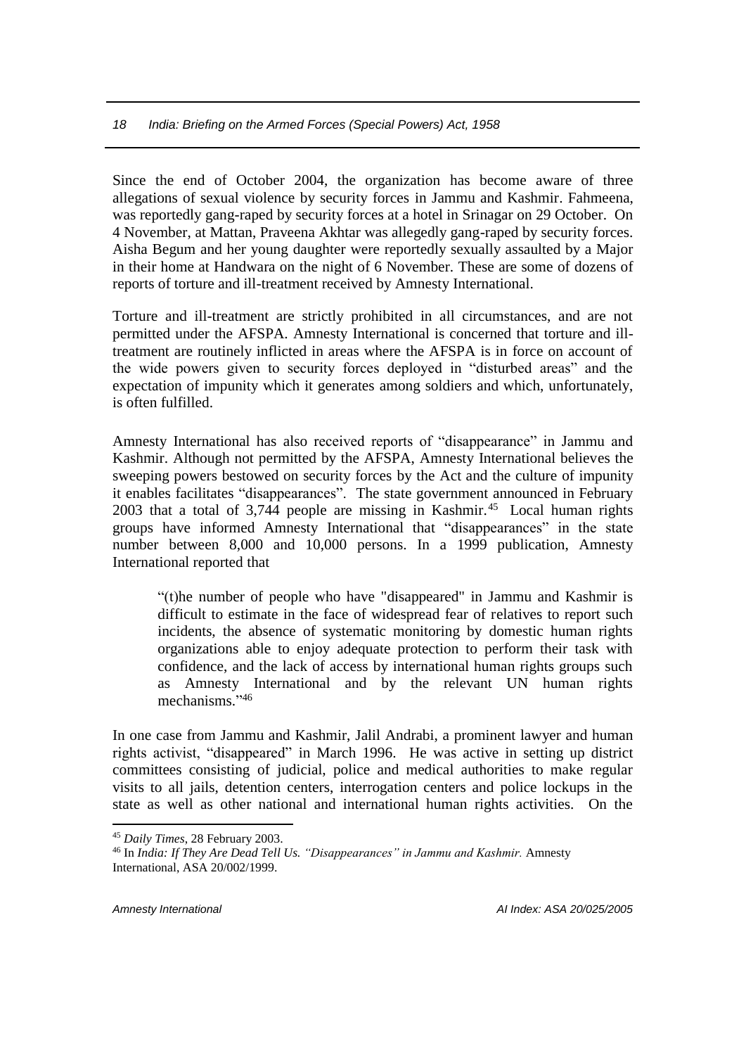Since the end of October 2004, the organization has become aware of three allegations of sexual violence by security forces in Jammu and Kashmir. Fahmeena, was reportedly gang-raped by security forces at a hotel in Srinagar on 29 October. On 4 November, at Mattan, Praveena Akhtar was allegedly gang-raped by security forces. Aisha Begum and her young daughter were reportedly sexually assaulted by a Major in their home at Handwara on the night of 6 November. These are some of dozens of reports of torture and ill-treatment received by Amnesty International.

Torture and ill-treatment are strictly prohibited in all circumstances, and are not permitted under the AFSPA. Amnesty International is concerned that torture and illtreatment are routinely inflicted in areas where the AFSPA is in force on account of the wide powers given to security forces deployed in "disturbed areas" and the expectation of impunity which it generates among soldiers and which, unfortunately, is often fulfilled.

Amnesty International has also received reports of "disappearance" in Jammu and Kashmir. Although not permitted by the AFSPA, Amnesty International believes the sweeping powers bestowed on security forces by the Act and the culture of impunity it enables facilitates "disappearances". The state government announced in February 2003 that a total of  $3,744$  people are missing in Kashmir.<sup>45</sup> Local human rights groups have informed Amnesty International that "disappearances" in the state number between 8,000 and 10,000 persons. In a 1999 publication, Amnesty International reported that

"(t)he number of people who have "disappeared" in Jammu and Kashmir is difficult to estimate in the face of widespread fear of relatives to report such incidents, the absence of systematic monitoring by domestic human rights organizations able to enjoy adequate protection to perform their task with confidence, and the lack of access by international human rights groups such as Amnesty International and by the relevant UN human rights mechanisms." 46

In one case from Jammu and Kashmir, Jalil Andrabi, a prominent lawyer and human rights activist, "disappeared" in March 1996. He was active in setting up district committees consisting of judicial, police and medical authorities to make regular visits to all jails, detention centers, interrogation centers and police lockups in the state as well as other national and international human rights activities. On the

<sup>45</sup> *Daily Times*, 28 February 2003.

<sup>46</sup> In *India: If They Are Dead Tell Us. "Disappearances" in Jammu and Kashmir.* Amnesty International, ASA 20/002/1999.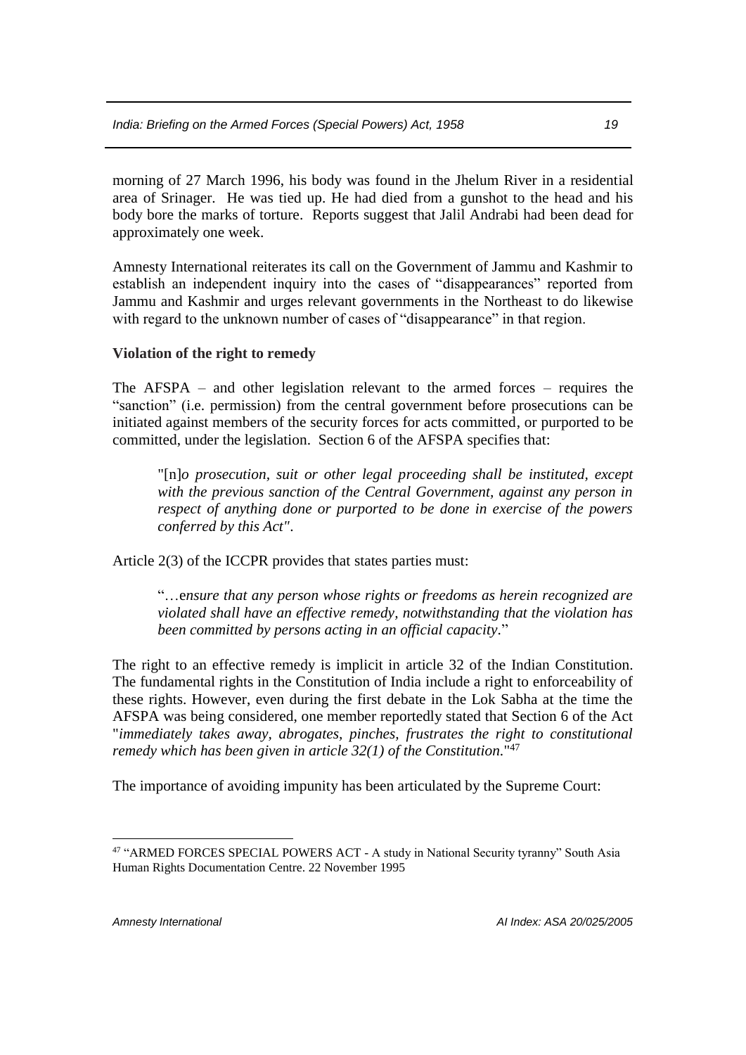morning of 27 March 1996, his body was found in the Jhelum River in a residential area of Srinager. He was tied up. He had died from a gunshot to the head and his body bore the marks of torture. Reports suggest that Jalil Andrabi had been dead for approximately one week.

Amnesty International reiterates its call on the Government of Jammu and Kashmir to establish an independent inquiry into the cases of "disappearances" reported from Jammu and Kashmir and urges relevant governments in the Northeast to do likewise with regard to the unknown number of cases of "disappearance" in that region.

#### <span id="page-20-0"></span>**Violation of the right to remedy**

The AFSPA – and other legislation relevant to the armed forces – requires the "sanction" (i.e. permission) from the central government before prosecutions can be initiated against members of the security forces for acts committed, or purported to be committed, under the legislation. Section 6 of the AFSPA specifies that:

"[n]*o prosecution, suit or other legal proceeding shall be instituted, except with the previous sanction of the Central Government, against any person in respect of anything done or purported to be done in exercise of the powers conferred by this Act"*.

Article 2(3) of the ICCPR provides that states parties must:

"…e*nsure that any person whose rights or freedoms as herein recognized are violated shall have an effective remedy, notwithstanding that the violation has been committed by persons acting in an official capacity.*"

The right to an effective remedy is implicit in article 32 of the Indian Constitution. The fundamental rights in the Constitution of India include a right to enforceability of these rights. However, even during the first debate in the Lok Sabha at the time the AFSPA was being considered, one member reportedly stated that Section 6 of the Act "*immediately takes away, abrogates, pinches, frustrates the right to constitutional remedy which has been given in article 32(1) of the Constitution.*" 47

The importance of avoiding impunity has been articulated by the Supreme Court:

 $\overline{a}$ <sup>47</sup> "ARMED FORCES SPECIAL POWERS ACT - A study in National Security tyranny" South Asia Human Rights Documentation Centre. 22 November 1995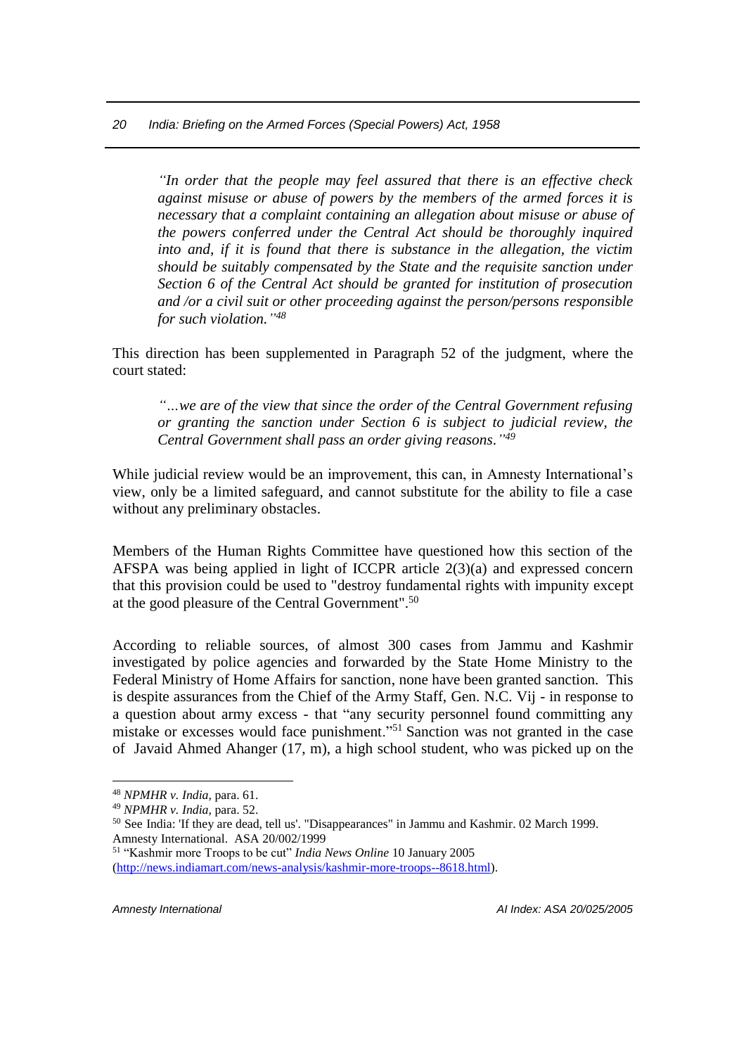*"In order that the people may feel assured that there is an effective check against misuse or abuse of powers by the members of the armed forces it is necessary that a complaint containing an allegation about misuse or abuse of the powers conferred under the Central Act should be thoroughly inquired into and, if it is found that there is substance in the allegation, the victim should be suitably compensated by the State and the requisite sanction under Section 6 of the Central Act should be granted for institution of prosecution and /or a civil suit or other proceeding against the person/persons responsible for such violation." 48*

This direction has been supplemented in Paragraph 52 of the judgment, where the court stated:

*"…we are of the view that since the order of the Central Government refusing or granting the sanction under Section 6 is subject to judicial review, the Central Government shall pass an order giving reasons." 49*

While judicial review would be an improvement, this can, in Amnesty International's view, only be a limited safeguard, and cannot substitute for the ability to file a case without any preliminary obstacles.

Members of the Human Rights Committee have questioned how this section of the AFSPA was being applied in light of ICCPR article 2(3)(a) and expressed concern that this provision could be used to "destroy fundamental rights with impunity except at the good pleasure of the Central Government".<sup>50</sup>

According to reliable sources, of almost 300 cases from Jammu and Kashmir investigated by police agencies and forwarded by the State Home Ministry to the Federal Ministry of Home Affairs for sanction, none have been granted sanction. This is despite assurances from the Chief of the Army Staff, Gen. N.C. Vij - in response to a question about army excess - that "any security personnel found committing any mistake or excesses would face punishment."<sup>51</sup> Sanction was not granted in the case of Javaid Ahmed Ahanger (17, m), a high school student, who was picked up on the

 $\overline{a}$ 

[\(http://news.indiamart.com/news-analysis/kashmir-more-troops--8618.html\)](http://news.indiamart.com/news-analysis/kashmir-more-troops--8618.html).

<sup>48</sup> *NPMHR v. India,* para. 61.

<sup>49</sup> *NPMHR v. India,* para. 52.

<sup>50</sup> See India: 'If they are dead, tell us'. "Disappearances" in Jammu and Kashmir. 02 March 1999. Amnesty International. ASA 20/002/1999

<sup>51</sup> "Kashmir more Troops to be cut" *India News Online* 10 January 2005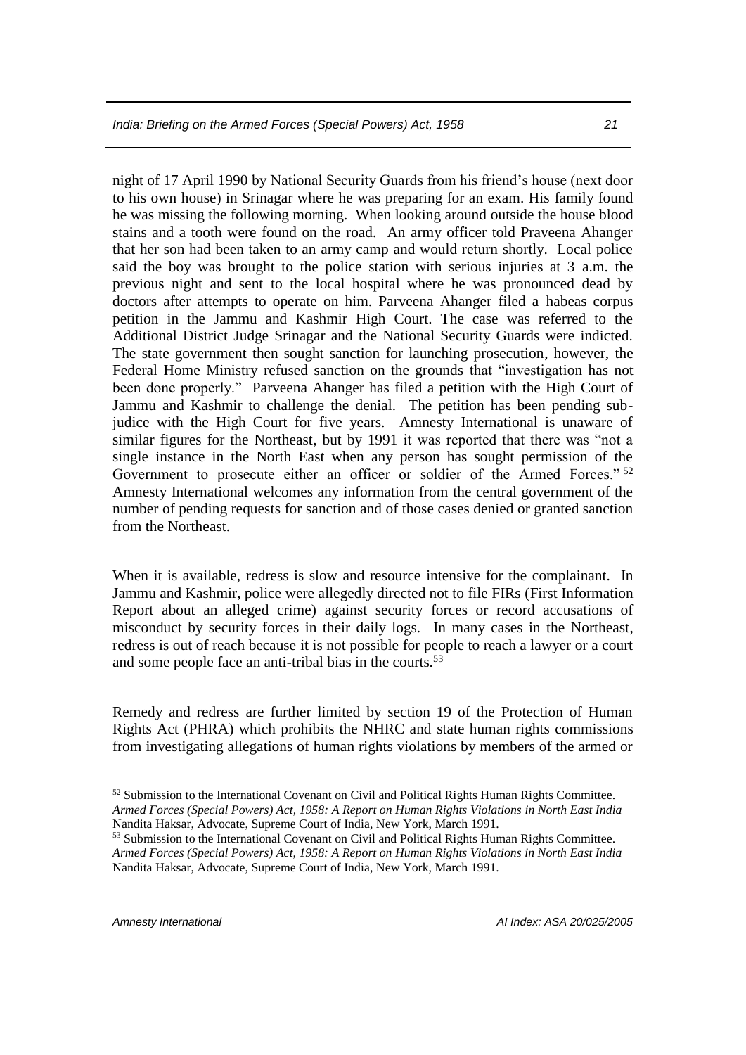night of 17 April 1990 by National Security Guards from his friend's house (next door to his own house) in Srinagar where he was preparing for an exam. His family found he was missing the following morning. When looking around outside the house blood stains and a tooth were found on the road. An army officer told Praveena Ahanger that her son had been taken to an army camp and would return shortly. Local police said the boy was brought to the police station with serious injuries at 3 a.m. the previous night and sent to the local hospital where he was pronounced dead by doctors after attempts to operate on him. Parveena Ahanger filed a habeas corpus petition in the Jammu and Kashmir High Court. The case was referred to the Additional District Judge Srinagar and the National Security Guards were indicted. The state government then sought sanction for launching prosecution, however, the Federal Home Ministry refused sanction on the grounds that "investigation has not been done properly." Parveena Ahanger has filed a petition with the High Court of Jammu and Kashmir to challenge the denial. The petition has been pending subjudice with the High Court for five years. Amnesty International is unaware of similar figures for the Northeast, but by 1991 it was reported that there was "not a single instance in the North East when any person has sought permission of the Government to prosecute either an officer or soldier of the Armed Forces." 52 Amnesty International welcomes any information from the central government of the number of pending requests for sanction and of those cases denied or granted sanction from the Northeast.

When it is available, redress is slow and resource intensive for the complainant. In Jammu and Kashmir, police were allegedly directed not to file FIRs (First Information Report about an alleged crime) against security forces or record accusations of misconduct by security forces in their daily logs. In many cases in the Northeast, redress is out of reach because it is not possible for people to reach a lawyer or a court and some people face an anti-tribal bias in the courts.<sup>53</sup>

Remedy and redress are further limited by section 19 of the Protection of Human Rights Act (PHRA) which prohibits the NHRC and state human rights commissions from investigating allegations of human rights violations by members of the armed or

53 Submission to the International Covenant on Civil and Political Rights Human Rights Committee. *Armed Forces (Special Powers) Act, 1958: A Report on Human Rights Violations in North East India* Nandita Haksar, Advocate, Supreme Court of India, New York, March 1991.

<sup>52</sup> Submission to the International Covenant on Civil and Political Rights Human Rights Committee. *Armed Forces (Special Powers) Act, 1958: A Report on Human Rights Violations in North East India* Nandita Haksar, Advocate, Supreme Court of India, New York, March 1991.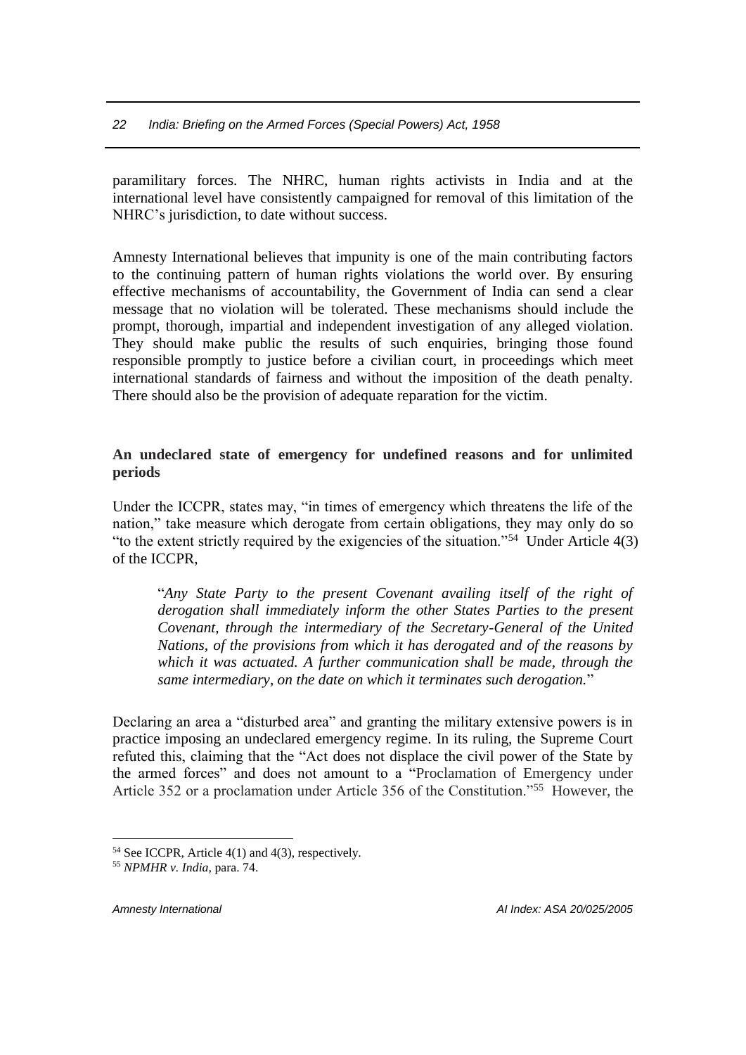paramilitary forces. The NHRC, human rights activists in India and at the international level have consistently campaigned for removal of this limitation of the NHRC's jurisdiction, to date without success.

Amnesty International believes that impunity is one of the main contributing factors to the continuing pattern of human rights violations the world over. By ensuring effective mechanisms of accountability, the Government of India can send a clear message that no violation will be tolerated. These mechanisms should include the prompt, thorough, impartial and independent investigation of any alleged violation. They should make public the results of such enquiries, bringing those found responsible promptly to justice before a civilian court, in proceedings which meet international standards of fairness and without the imposition of the death penalty. There should also be the provision of adequate reparation for the victim.

#### <span id="page-23-0"></span>**An undeclared state of emergency for undefined reasons and for unlimited periods**

Under the ICCPR, states may, "in times of emergency which threatens the life of the nation," take measure which derogate from certain obligations, they may only do so "to the extent strictly required by the exigencies of the situation."<sup>54</sup> Under Article  $4(3)$ of the ICCPR,

"*Any State Party to the present Covenant availing itself of the right of derogation shall immediately inform the other States Parties to the present Covenant, through the intermediary of the Secretary-General of the United Nations, of the provisions from which it has derogated and of the reasons by which it was actuated. A further communication shall be made, through the same intermediary, on the date on which it terminates such derogation.*"

Declaring an area a "disturbed area" and granting the military extensive powers is in practice imposing an undeclared emergency regime. In its ruling, the Supreme Court refuted this, claiming that the "Act does not displace the civil power of the State by the armed forces" and does not amount to a "Proclamation of Emergency under Article 352 or a proclamation under Article 356 of the Constitution."<sup>55</sup> However, the

<sup>54</sup> See ICCPR, Article 4(1) and 4(3), respectively.

<sup>55</sup> *NPMHR v. India,* para. 74.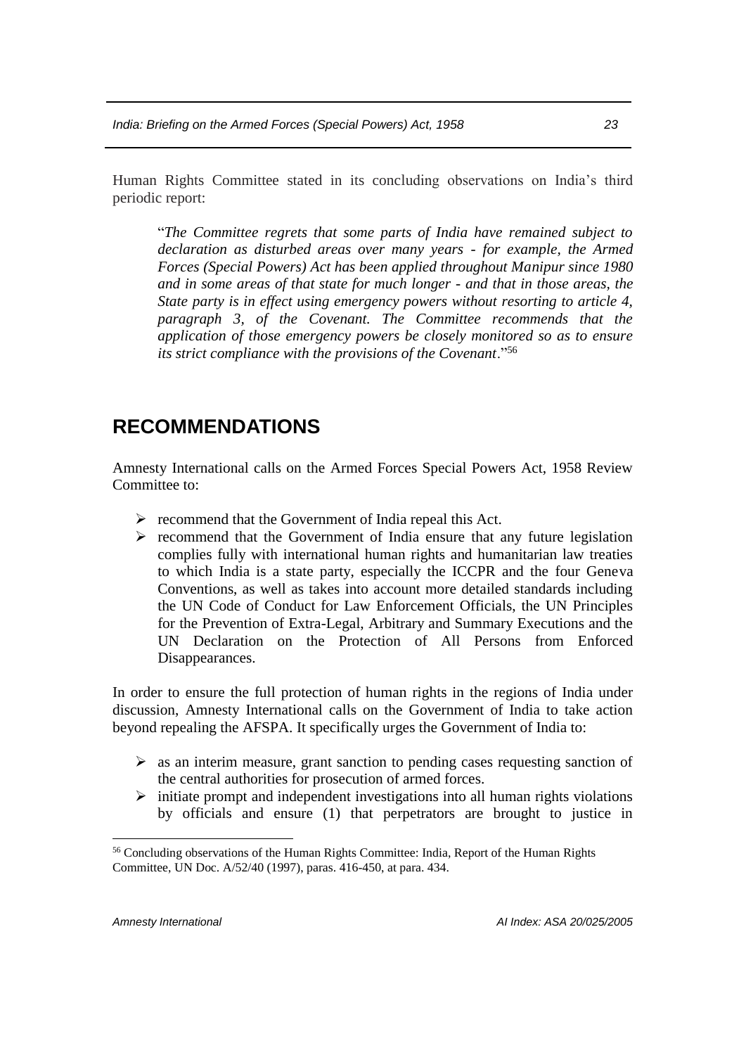Human Rights Committee stated in its concluding observations on India's third periodic report:

"*The Committee regrets that some parts of India have remained subject to declaration as disturbed areas over many years - for example, the Armed Forces (Special Powers) Act has been applied throughout Manipur since 1980 and in some areas of that state for much longer - and that in those areas, the State party is in effect using emergency powers without resorting to article 4, paragraph 3, of the Covenant. The Committee recommends that the application of those emergency powers be closely monitored so as to ensure its strict compliance with the provisions of the Covenant*."<sup>56</sup>

## <span id="page-24-0"></span>**RECOMMENDATIONS**

Amnesty International calls on the Armed Forces Special Powers Act, 1958 Review Committee to:

- $\triangleright$  recommend that the Government of India repeal this Act.
- $\triangleright$  recommend that the Government of India ensure that any future legislation complies fully with international human rights and humanitarian law treaties to which India is a state party, especially the ICCPR and the four Geneva Conventions, as well as takes into account more detailed standards including the UN Code of Conduct for Law Enforcement Officials, the UN Principles for the Prevention of Extra-Legal, Arbitrary and Summary Executions and the UN Declaration on the Protection of All Persons from Enforced Disappearances.

In order to ensure the full protection of human rights in the regions of India under discussion, Amnesty International calls on the Government of India to take action beyond repealing the AFSPA. It specifically urges the Government of India to:

- $\triangleright$  as an interim measure, grant sanction to pending cases requesting sanction of the central authorities for prosecution of armed forces.
- $\triangleright$  initiate prompt and independent investigations into all human rights violations by officials and ensure (1) that perpetrators are brought to justice in

<sup>56</sup> Concluding observations of the Human Rights Committee: India, Report of the Human Rights Committee, UN Doc. A/52/40 (1997), paras. 416-450, at para. 434.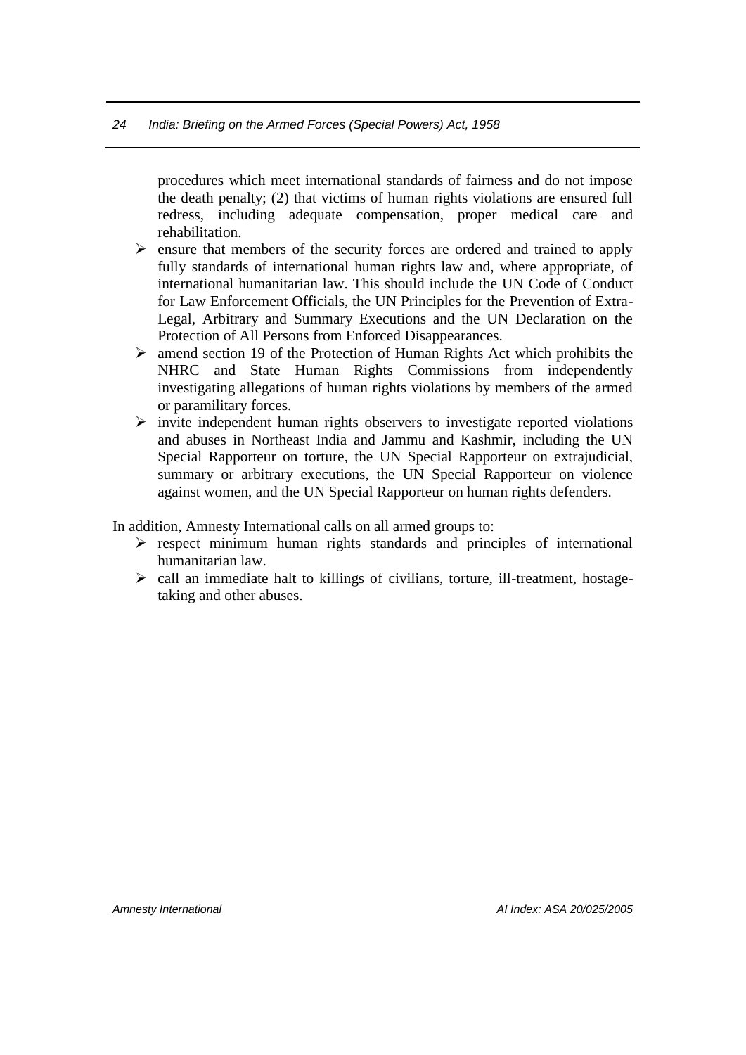procedures which meet international standards of fairness and do not impose the death penalty; (2) that victims of human rights violations are ensured full redress, including adequate compensation, proper medical care and rehabilitation.

- $\triangleright$  ensure that members of the security forces are ordered and trained to apply fully standards of international human rights law and, where appropriate, of international humanitarian law. This should include the UN Code of Conduct for Law Enforcement Officials, the UN Principles for the Prevention of Extra-Legal, Arbitrary and Summary Executions and the UN Declaration on the Protection of All Persons from Enforced Disappearances.
- $\triangleright$  amend section 19 of the Protection of Human Rights Act which prohibits the NHRC and State Human Rights Commissions from independently investigating allegations of human rights violations by members of the armed or paramilitary forces.
- $\triangleright$  invite independent human rights observers to investigate reported violations and abuses in Northeast India and Jammu and Kashmir, including the UN Special Rapporteur on torture, the UN Special Rapporteur on extrajudicial, summary or arbitrary executions, the UN Special Rapporteur on violence against women, and the UN Special Rapporteur on human rights defenders.

In addition, Amnesty International calls on all armed groups to:

- $\triangleright$  respect minimum human rights standards and principles of international humanitarian law.
- $\triangleright$  call an immediate halt to killings of civilians, torture, ill-treatment, hostagetaking and other abuses.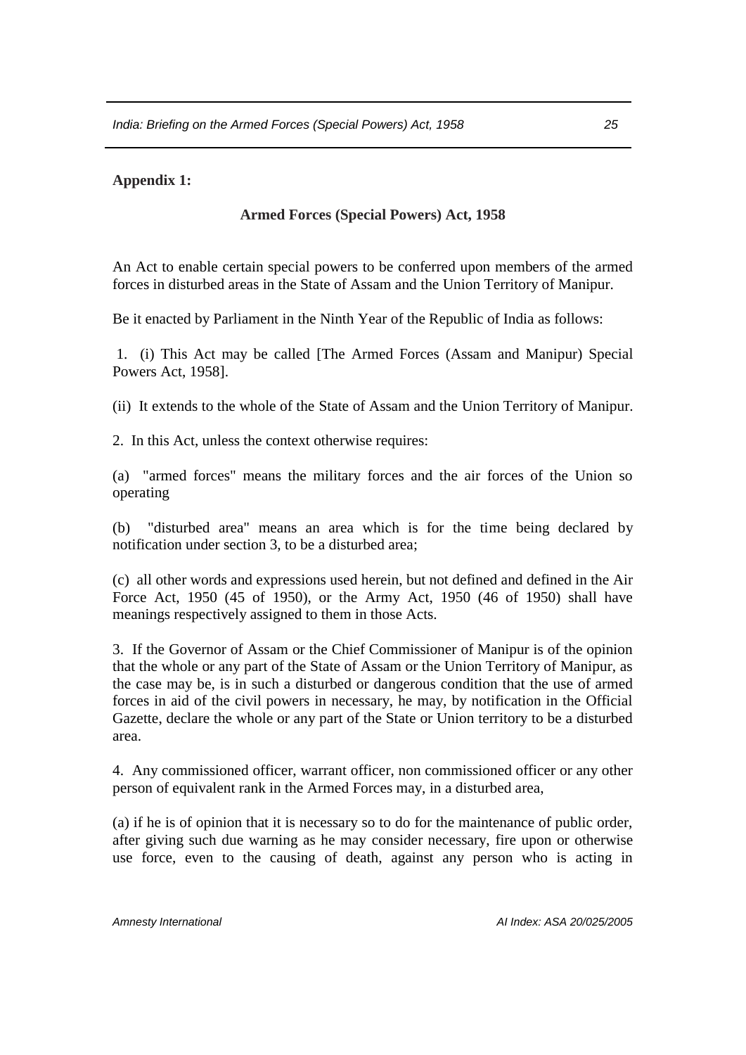#### <span id="page-26-1"></span><span id="page-26-0"></span>**Appendix 1:**

#### **Armed Forces (Special Powers) Act, 1958**

An Act to enable certain special powers to be conferred upon members of the armed forces in disturbed areas in the State of Assam and the Union Territory of Manipur.

Be it enacted by Parliament in the Ninth Year of the Republic of India as follows:

1. (i) This Act may be called [The Armed Forces (Assam and Manipur) Special Powers Act, 1958].

(ii) It extends to the whole of the State of Assam and the Union Territory of Manipur.

2. In this Act, unless the context otherwise requires:

(a) "armed forces" means the military forces and the air forces of the Union so operating

(b) "disturbed area" means an area which is for the time being declared by notification under section 3, to be a disturbed area;

(c) all other words and expressions used herein, but not defined and defined in the Air Force Act, 1950 (45 of 1950), or the Army Act, 1950 (46 of 1950) shall have meanings respectively assigned to them in those Acts.

3. If the Governor of Assam or the Chief Commissioner of Manipur is of the opinion that the whole or any part of the State of Assam or the Union Territory of Manipur, as the case may be, is in such a disturbed or dangerous condition that the use of armed forces in aid of the civil powers in necessary, he may, by notification in the Official Gazette, declare the whole or any part of the State or Union territory to be a disturbed area.

4. Any commissioned officer, warrant officer, non commissioned officer or any other person of equivalent rank in the Armed Forces may, in a disturbed area,

(a) if he is of opinion that it is necessary so to do for the maintenance of public order, after giving such due warning as he may consider necessary, fire upon or otherwise use force, even to the causing of death, against any person who is acting in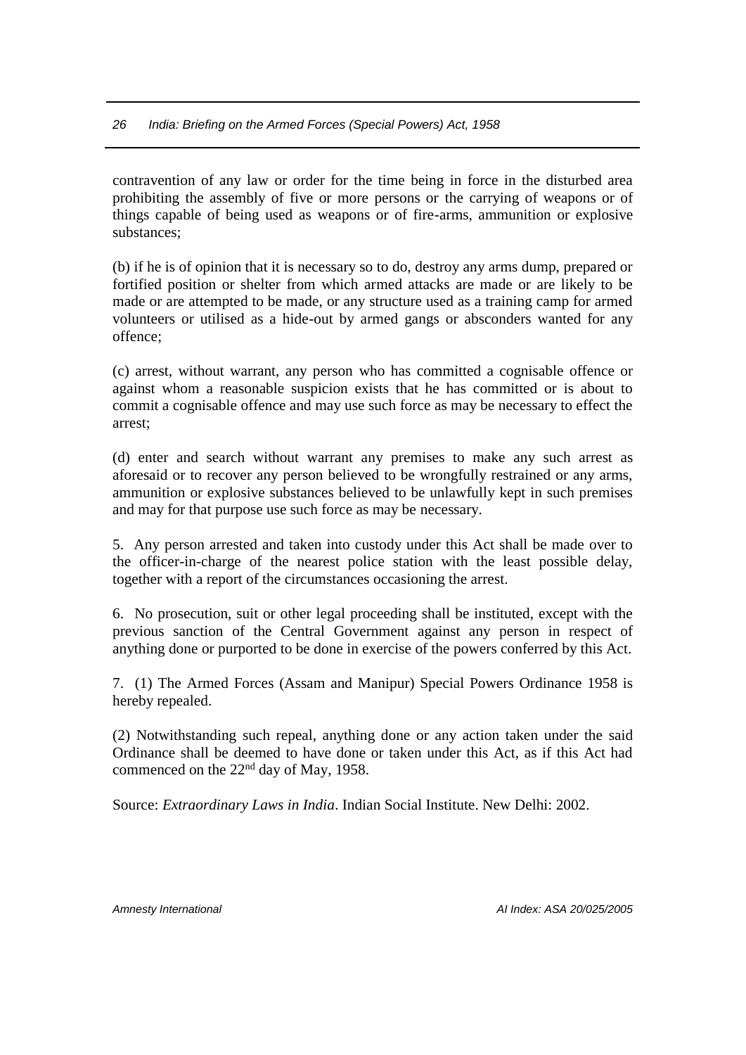contravention of any law or order for the time being in force in the disturbed area prohibiting the assembly of five or more persons or the carrying of weapons or of things capable of being used as weapons or of fire-arms, ammunition or explosive substances;

(b) if he is of opinion that it is necessary so to do, destroy any arms dump, prepared or fortified position or shelter from which armed attacks are made or are likely to be made or are attempted to be made, or any structure used as a training camp for armed volunteers or utilised as a hide-out by armed gangs or absconders wanted for any offence;

(c) arrest, without warrant, any person who has committed a cognisable offence or against whom a reasonable suspicion exists that he has committed or is about to commit a cognisable offence and may use such force as may be necessary to effect the arrest;

(d) enter and search without warrant any premises to make any such arrest as aforesaid or to recover any person believed to be wrongfully restrained or any arms, ammunition or explosive substances believed to be unlawfully kept in such premises and may for that purpose use such force as may be necessary.

5. Any person arrested and taken into custody under this Act shall be made over to the officer-in-charge of the nearest police station with the least possible delay, together with a report of the circumstances occasioning the arrest.

6.No prosecution, suit or other legal proceeding shall be instituted, except with the previous sanction of the Central Government against any person in respect of anything done or purported to be done in exercise of the powers conferred by this Act.

7. (1) The Armed Forces (Assam and Manipur) Special Powers Ordinance 1958 is hereby repealed.

(2) Notwithstanding such repeal, anything done or any action taken under the said Ordinance shall be deemed to have done or taken under this Act, as if this Act had commenced on the 22<sup>nd</sup> day of May, 1958.

Source: *Extraordinary Laws in India*. Indian Social Institute. New Delhi: 2002.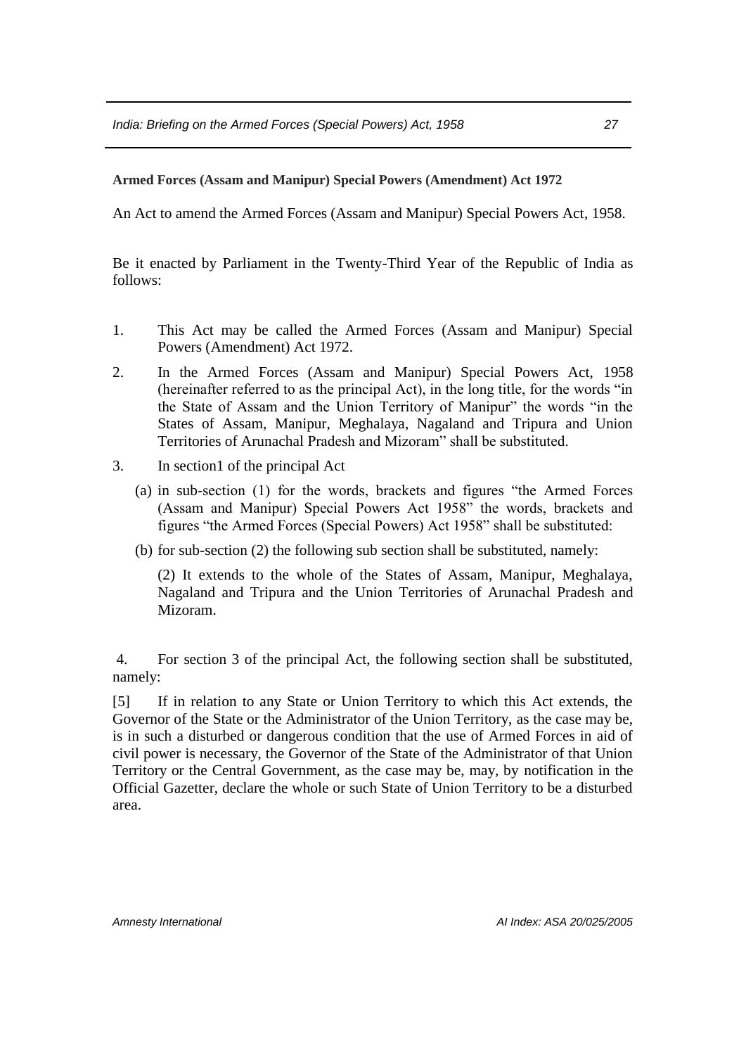#### <span id="page-28-0"></span>**Armed Forces (Assam and Manipur) Special Powers (Amendment) Act 1972**

An Act to amend the Armed Forces (Assam and Manipur) Special Powers Act, 1958.

Be it enacted by Parliament in the Twenty-Third Year of the Republic of India as follows:

- 1. This Act may be called the Armed Forces (Assam and Manipur) Special Powers (Amendment) Act 1972.
- 2. In the Armed Forces (Assam and Manipur) Special Powers Act, 1958 (hereinafter referred to as the principal Act), in the long title, for the words "in the State of Assam and the Union Territory of Manipur" the words "in the States of Assam, Manipur, Meghalaya, Nagaland and Tripura and Union Territories of Arunachal Pradesh and Mizoram" shall be substituted.
- 3. In section1 of the principal Act
	- (a) in sub-section (1) for the words, brackets and figures "the Armed Forces (Assam and Manipur) Special Powers Act 1958" the words, brackets and figures "the Armed Forces (Special Powers) Act 1958" shall be substituted:
	- (b) for sub-section (2) the following sub section shall be substituted, namely:

(2) It extends to the whole of the States of Assam, Manipur, Meghalaya, Nagaland and Tripura and the Union Territories of Arunachal Pradesh and Mizoram.

4. For section 3 of the principal Act, the following section shall be substituted, namely:

[5] If in relation to any State or Union Territory to which this Act extends, the Governor of the State or the Administrator of the Union Territory, as the case may be, is in such a disturbed or dangerous condition that the use of Armed Forces in aid of civil power is necessary, the Governor of the State of the Administrator of that Union Territory or the Central Government, as the case may be, may, by notification in the Official Gazetter, declare the whole or such State of Union Territory to be a disturbed area.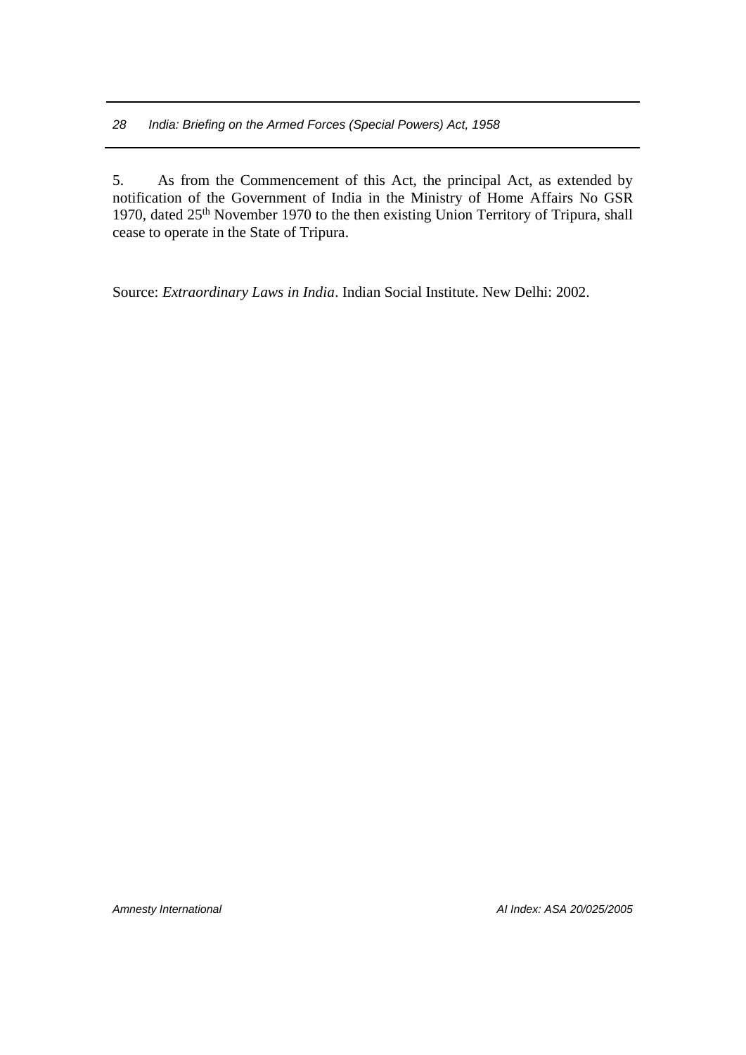5. As from the Commencement of this Act, the principal Act, as extended by notification of the Government of India in the Ministry of Home Affairs No GSR 1970, dated 25<sup>th</sup> November 1970 to the then existing Union Territory of Tripura, shall cease to operate in the State of Tripura.

Source: *Extraordinary Laws in India*. Indian Social Institute. New Delhi: 2002.

*Amnesty International AI Index: ASA 20/025/2005*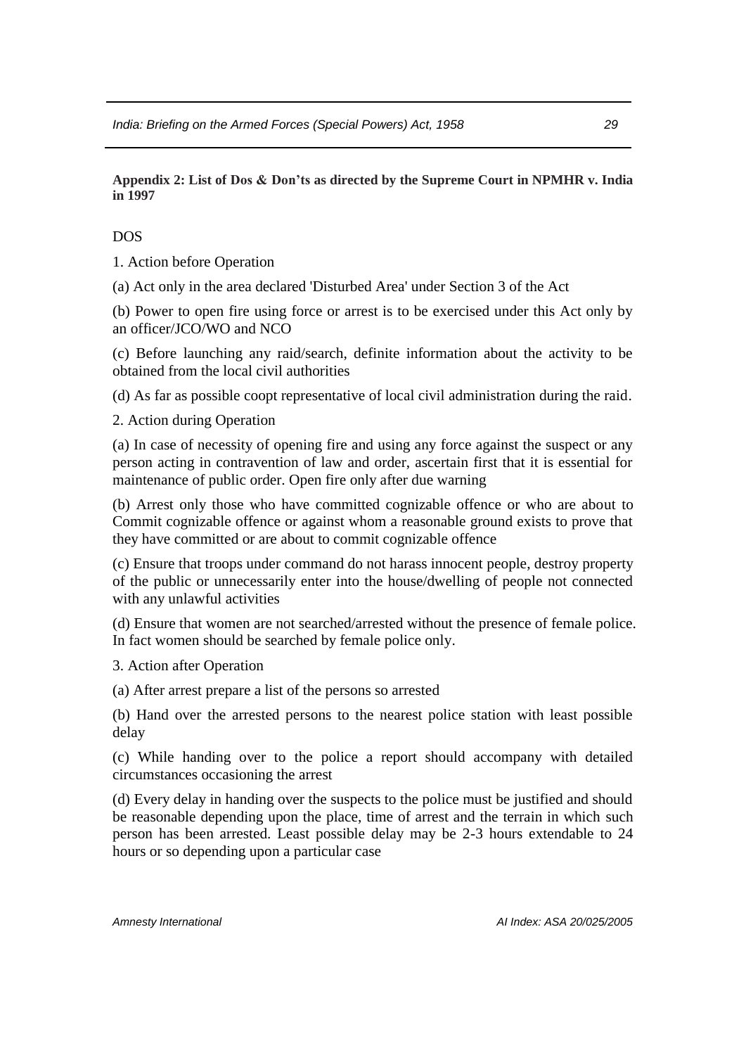<span id="page-30-0"></span>**Appendix 2: List of Dos & Don'ts as directed by the Supreme Court in NPMHR v. India in 1997**

#### DOS

1. Action before Operation

(a) Act only in the area declared 'Disturbed Area' under Section 3 of the Act

(b) Power to open fire using force or arrest is to be exercised under this Act only by an officer/JCO/WO and NCO

(c) Before launching any raid/search, definite information about the activity to be obtained from the local civil authorities

(d) As far as possible coopt representative of local civil administration during the raid.

#### 2. Action during Operation

(a) In case of necessity of opening fire and using any force against the suspect or any person acting in contravention of law and order, ascertain first that it is essential for maintenance of public order. Open fire only after due warning

(b) Arrest only those who have committed cognizable offence or who are about to Commit cognizable offence or against whom a reasonable ground exists to prove that they have committed or are about to commit cognizable offence

(c) Ensure that troops under command do not harass innocent people, destroy property of the public or unnecessarily enter into the house/dwelling of people not connected with any unlawful activities

(d) Ensure that women are not searched/arrested without the presence of female police. In fact women should be searched by female police only.

3. Action after Operation

(a) After arrest prepare a list of the persons so arrested

(b) Hand over the arrested persons to the nearest police station with least possible delay

(c) While handing over to the police a report should accompany with detailed circumstances occasioning the arrest

(d) Every delay in handing over the suspects to the police must be justified and should be reasonable depending upon the place, time of arrest and the terrain in which such person has been arrested. Least possible delay may be 2-3 hours extendable to 24 hours or so depending upon a particular case

*Amnesty International AI Index: ASA 20/025/2005*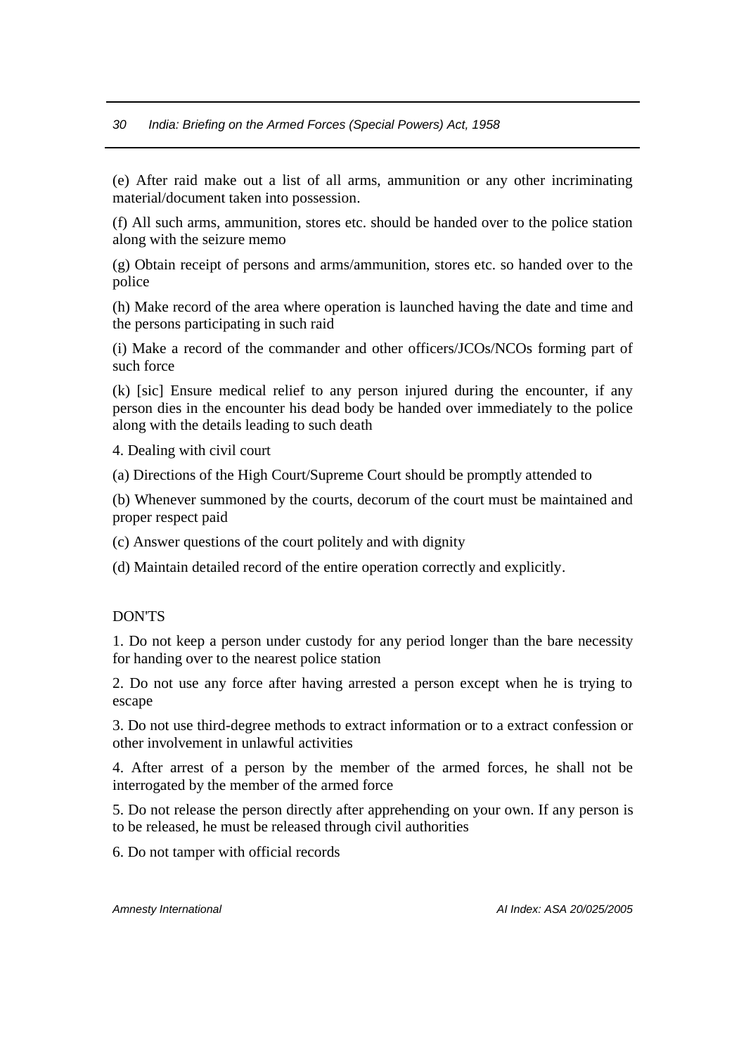(e) After raid make out a list of all arms, ammunition or any other incriminating material/document taken into possession.

(f) All such arms, ammunition, stores etc. should be handed over to the police station along with the seizure memo

(g) Obtain receipt of persons and arms/ammunition, stores etc. so handed over to the police

(h) Make record of the area where operation is launched having the date and time and the persons participating in such raid

(i) Make a record of the commander and other officers/JCOs/NCOs forming part of such force

(k) [sic] Ensure medical relief to any person injured during the encounter, if any person dies in the encounter his dead body be handed over immediately to the police along with the details leading to such death

4. Dealing with civil court

(a) Directions of the High Court/Supreme Court should be promptly attended to

(b) Whenever summoned by the courts, decorum of the court must be maintained and proper respect paid

(c) Answer questions of the court politely and with dignity

(d) Maintain detailed record of the entire operation correctly and explicitly.

#### DON'TS

1. Do not keep a person under custody for any period longer than the bare necessity for handing over to the nearest police station

2. Do not use any force after having arrested a person except when he is trying to escape

3. Do not use third-degree methods to extract information or to a extract confession or other involvement in unlawful activities

4. After arrest of a person by the member of the armed forces, he shall not be interrogated by the member of the armed force

5. Do not release the person directly after apprehending on your own. If any person is to be released, he must be released through civil authorities

6. Do not tamper with official records

*Amnesty International AI Index: ASA 20/025/2005*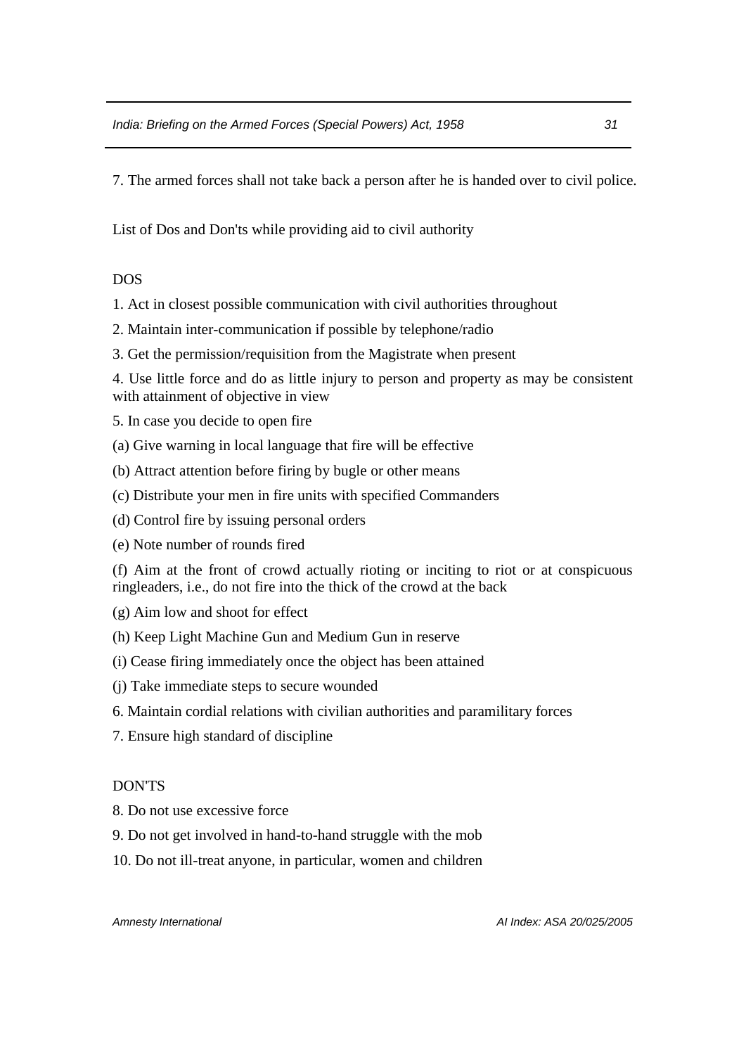7. The armed forces shall not take back a person after he is handed over to civil police.

List of Dos and Don'ts while providing aid to civil authority

#### DOS

1. Act in closest possible communication with civil authorities throughout

- 2. Maintain inter-communication if possible by telephone/radio
- 3. Get the permission/requisition from the Magistrate when present

4. Use little force and do as little injury to person and property as may be consistent with attainment of objective in view

- 5. In case you decide to open fire
- (a) Give warning in local language that fire will be effective
- (b) Attract attention before firing by bugle or other means
- (c) Distribute your men in fire units with specified Commanders
- (d) Control fire by issuing personal orders
- (e) Note number of rounds fired

(f) Aim at the front of crowd actually rioting or inciting to riot or at conspicuous ringleaders, i.e., do not fire into the thick of the crowd at the back

- (g) Aim low and shoot for effect
- (h) Keep Light Machine Gun and Medium Gun in reserve
- (i) Cease firing immediately once the object has been attained
- (j) Take immediate steps to secure wounded
- 6. Maintain cordial relations with civilian authorities and paramilitary forces
- 7. Ensure high standard of discipline

#### DON'TS

- 8. Do not use excessive force
- 9. Do not get involved in hand-to-hand struggle with the mob
- 10. Do not ill-treat anyone, in particular, women and children